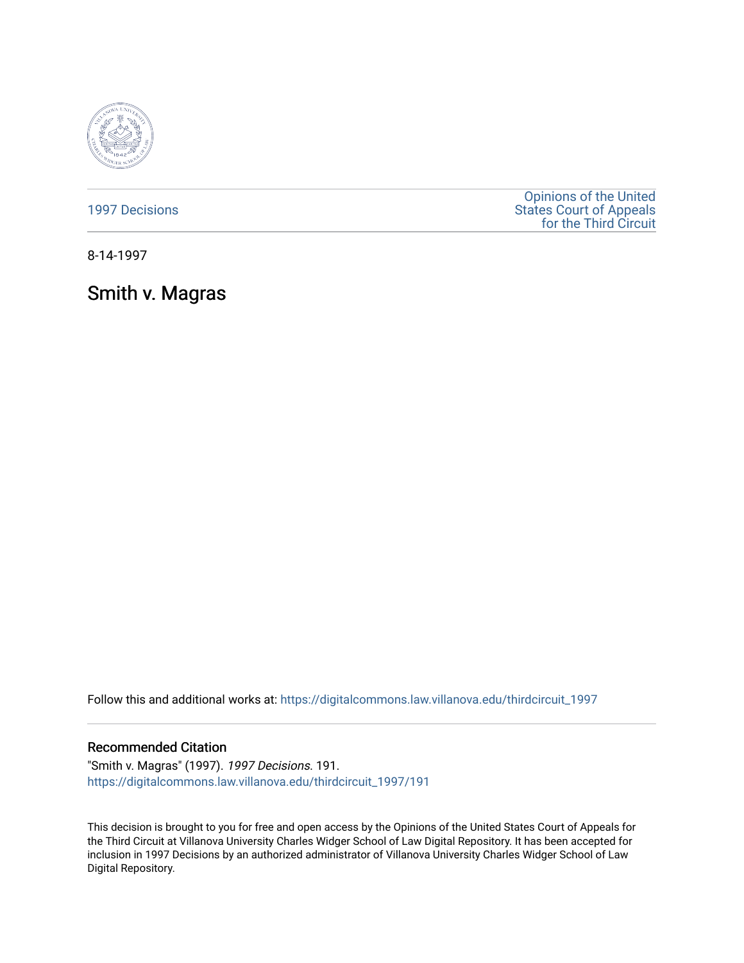

[1997 Decisions](https://digitalcommons.law.villanova.edu/thirdcircuit_1997)

[Opinions of the United](https://digitalcommons.law.villanova.edu/thirdcircuit)  [States Court of Appeals](https://digitalcommons.law.villanova.edu/thirdcircuit)  [for the Third Circuit](https://digitalcommons.law.villanova.edu/thirdcircuit) 

8-14-1997

Smith v. Magras

Follow this and additional works at: [https://digitalcommons.law.villanova.edu/thirdcircuit\\_1997](https://digitalcommons.law.villanova.edu/thirdcircuit_1997?utm_source=digitalcommons.law.villanova.edu%2Fthirdcircuit_1997%2F191&utm_medium=PDF&utm_campaign=PDFCoverPages) 

# Recommended Citation

"Smith v. Magras" (1997). 1997 Decisions. 191. [https://digitalcommons.law.villanova.edu/thirdcircuit\\_1997/191](https://digitalcommons.law.villanova.edu/thirdcircuit_1997/191?utm_source=digitalcommons.law.villanova.edu%2Fthirdcircuit_1997%2F191&utm_medium=PDF&utm_campaign=PDFCoverPages)

This decision is brought to you for free and open access by the Opinions of the United States Court of Appeals for the Third Circuit at Villanova University Charles Widger School of Law Digital Repository. It has been accepted for inclusion in 1997 Decisions by an authorized administrator of Villanova University Charles Widger School of Law Digital Repository.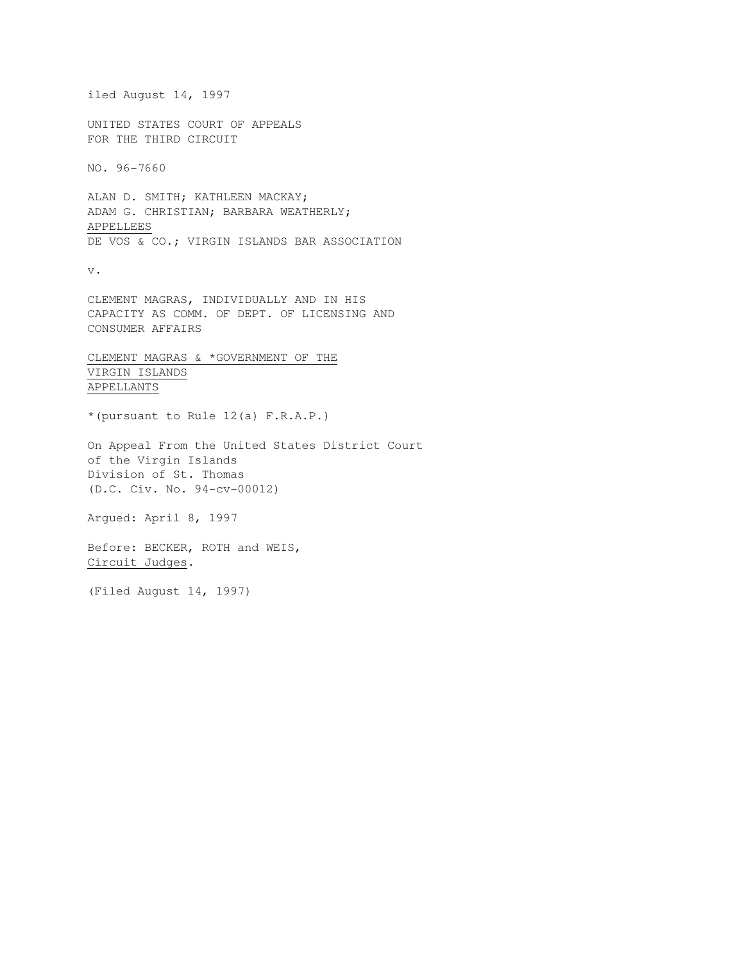```
iled August 14, 1997 
UNITED STATES COURT OF APPEALS 
FOR THE THIRD CIRCUIT 
NO. 96-7660 
ALAN D. SMITH; KATHLEEN MACKAY; 
ADAM G. CHRISTIAN; BARBARA WEATHERLY; 
APPELLEES
DE VOS & CO.; VIRGIN ISLANDS BAR ASSOCIATION
v. 
CLEMENT MAGRAS, INDIVIDUALLY AND IN HIS 
CAPACITY AS COMM. OF DEPT. OF LICENSING AND 
CONSUMER AFFAIRS 
CLEMENT MAGRAS & *GOVERNMENT OF THE
VIRGIN ISLANDS
APPELLANTS
*(pursuant to Rule 12(a) F.R.A.P.) 
On Appeal From the United States District Court 
of the Virgin Islands 
Division of St. Thomas 
(D.C. Civ. No. 94-cv-00012) 
Argued: April 8, 1997 
Before: BECKER, ROTH and WEIS, 
Circuit Judges. 
(Filed August 14, 1997)
```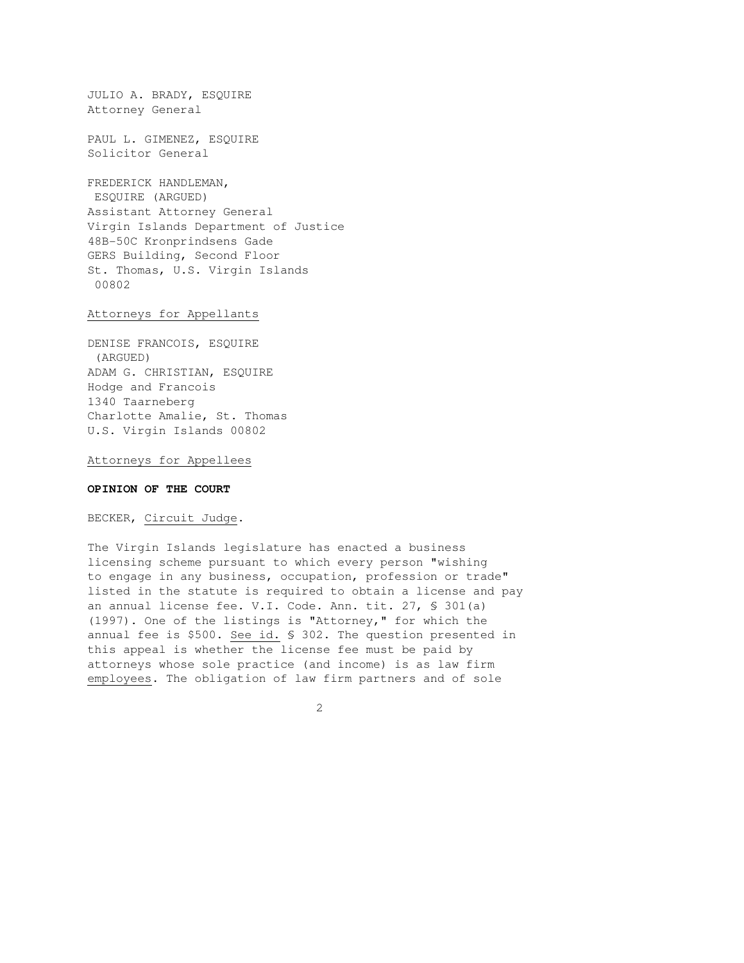JULIO A. BRADY, ESQUIRE Attorney General

PAUL L. GIMENEZ, ESQUIRE Solicitor General

FREDERICK HANDLEMAN, ESQUIRE (ARGUED) Assistant Attorney General Virgin Islands Department of Justice 48B-50C Kronprindsens Gade GERS Building, Second Floor St. Thomas, U.S. Virgin Islands 00802

Attorneys for Appellants

DENISE FRANCOIS, ESQUIRE (ARGUED) ADAM G. CHRISTIAN, ESOUIRE Hodge and Francois 1340 Taarneberg Charlotte Amalie, St. Thomas U.S. Virgin Islands 00802

Attorneys for Appellees

### **OPINION OF THE COURT**

BECKER, Circuit Judge.

The Virgin Islands legislature has enacted a business licensing scheme pursuant to which every person "wishing to engage in any business, occupation, profession or trade" listed in the statute is required to obtain a license and pay an annual license fee. V.I. Code. Ann. tit. 27, § 301(a) (1997). One of the listings is "Attorney," for which the annual fee is \$500. See id. \$ 302. The question presented in this appeal is whether the license fee must be paid by attorneys whose sole practice (and income) is as law firm employees. The obligation of law firm partners and of sole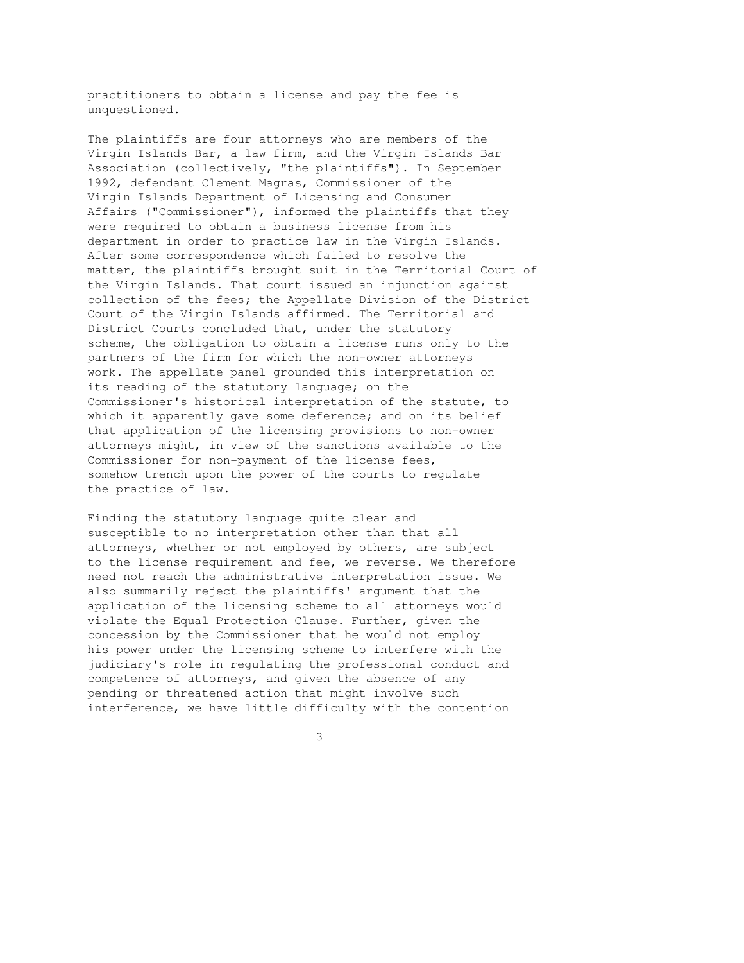practitioners to obtain a license and pay the fee is unquestioned.

The plaintiffs are four attorneys who are members of the Virgin Islands Bar, a law firm, and the Virgin Islands Bar Association (collectively, "the plaintiffs"). In September 1992, defendant Clement Magras, Commissioner of the Virgin Islands Department of Licensing and Consumer Affairs ("Commissioner"), informed the plaintiffs that they were required to obtain a business license from his department in order to practice law in the Virgin Islands. After some correspondence which failed to resolve the matter, the plaintiffs brought suit in the Territorial Court of the Virgin Islands. That court issued an injunction against collection of the fees; the Appellate Division of the District Court of the Virgin Islands affirmed. The Territorial and District Courts concluded that, under the statutory scheme, the obligation to obtain a license runs only to the partners of the firm for which the non-owner attorneys work. The appellate panel grounded this interpretation on its reading of the statutory language; on the Commissioner's historical interpretation of the statute, to which it apparently gave some deference; and on its belief that application of the licensing provisions to non-owner attorneys might, in view of the sanctions available to the Commissioner for non-payment of the license fees, somehow trench upon the power of the courts to regulate the practice of law.

Finding the statutory language quite clear and susceptible to no interpretation other than that all attorneys, whether or not employed by others, are subject to the license requirement and fee, we reverse. We therefore need not reach the administrative interpretation issue. We also summarily reject the plaintiffs' argument that the application of the licensing scheme to all attorneys would violate the Equal Protection Clause. Further, given the concession by the Commissioner that he would not employ his power under the licensing scheme to interfere with the judiciary's role in regulating the professional conduct and competence of attorneys, and given the absence of any pending or threatened action that might involve such interference, we have little difficulty with the contention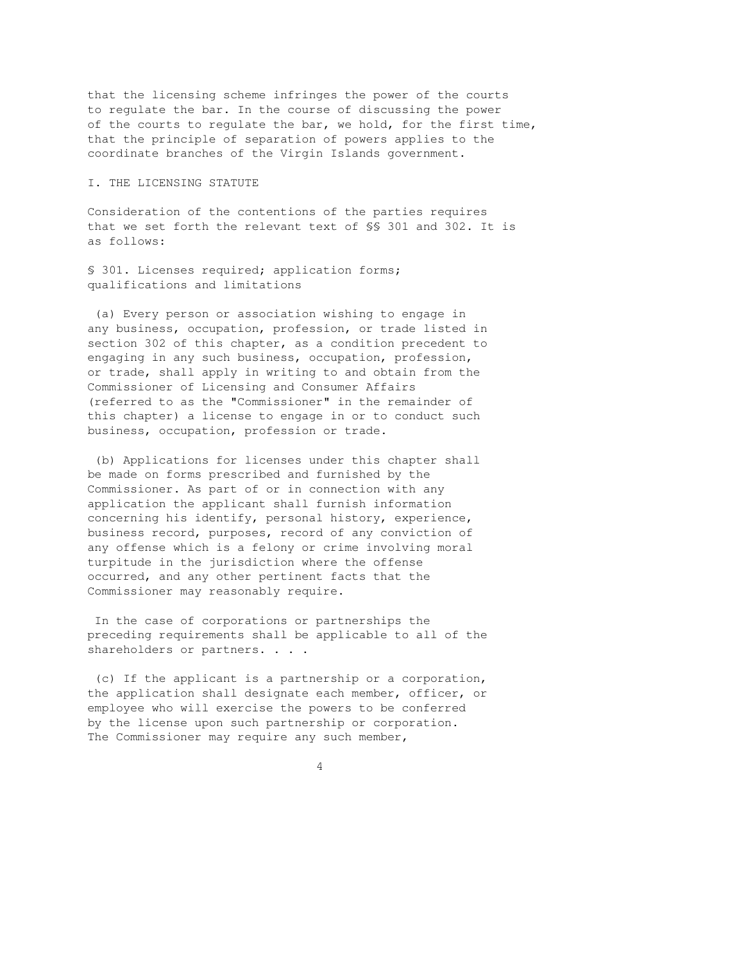that the licensing scheme infringes the power of the courts to regulate the bar. In the course of discussing the power of the courts to regulate the bar, we hold, for the first time, that the principle of separation of powers applies to the coordinate branches of the Virgin Islands government.

#### I. THE LICENSING STATUTE

Consideration of the contentions of the parties requires that we set forth the relevant text of §§ 301 and 302. It is as follows:

§ 301. Licenses required; application forms; qualifications and limitations

 (a) Every person or association wishing to engage in any business, occupation, profession, or trade listed in section 302 of this chapter, as a condition precedent to engaging in any such business, occupation, profession, or trade, shall apply in writing to and obtain from the Commissioner of Licensing and Consumer Affairs (referred to as the "Commissioner" in the remainder of this chapter) a license to engage in or to conduct such business, occupation, profession or trade.

 (b) Applications for licenses under this chapter shall be made on forms prescribed and furnished by the Commissioner. As part of or in connection with any application the applicant shall furnish information concerning his identify, personal history, experience, business record, purposes, record of any conviction of any offense which is a felony or crime involving moral turpitude in the jurisdiction where the offense occurred, and any other pertinent facts that the Commissioner may reasonably require.

 In the case of corporations or partnerships the preceding requirements shall be applicable to all of the shareholders or partners. . . .

 (c) If the applicant is a partnership or a corporation, the application shall designate each member, officer, or employee who will exercise the powers to be conferred by the license upon such partnership or corporation. The Commissioner may require any such member,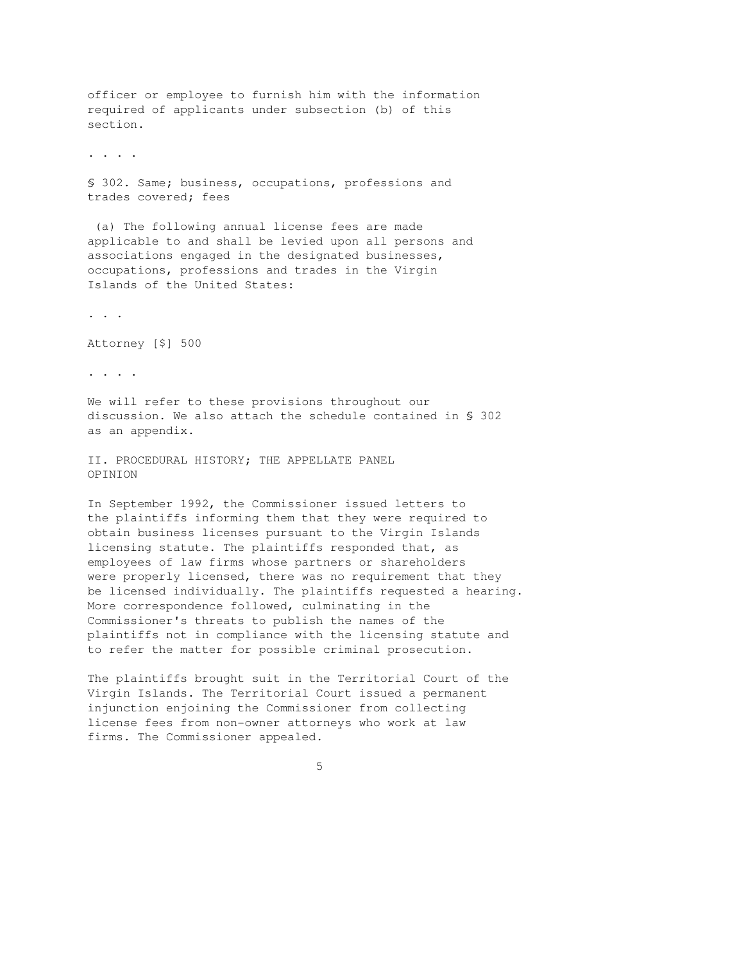officer or employee to furnish him with the information required of applicants under subsection (b) of this section.

. . . .

§ 302. Same; business, occupations, professions and trades covered; fees

 (a) The following annual license fees are made applicable to and shall be levied upon all persons and associations engaged in the designated businesses, occupations, professions and trades in the Virgin Islands of the United States:

. . .

Attorney [\$] 500

. . . .

We will refer to these provisions throughout our discussion. We also attach the schedule contained in § 302 as an appendix.

II. PROCEDURAL HISTORY; THE APPELLATE PANEL OPINION

In September 1992, the Commissioner issued letters to the plaintiffs informing them that they were required to obtain business licenses pursuant to the Virgin Islands licensing statute. The plaintiffs responded that, as employees of law firms whose partners or shareholders were properly licensed, there was no requirement that they be licensed individually. The plaintiffs requested a hearing. More correspondence followed, culminating in the Commissioner's threats to publish the names of the plaintiffs not in compliance with the licensing statute and to refer the matter for possible criminal prosecution.

The plaintiffs brought suit in the Territorial Court of the Virgin Islands. The Territorial Court issued a permanent injunction enjoining the Commissioner from collecting license fees from non-owner attorneys who work at law firms. The Commissioner appealed.

 $\sim$  5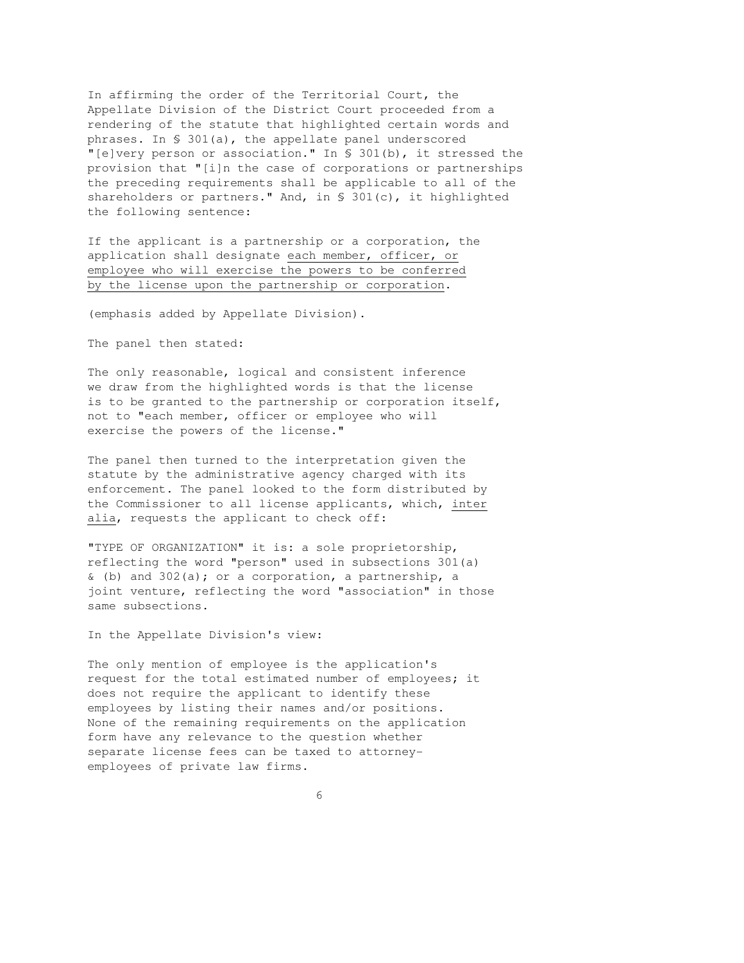In affirming the order of the Territorial Court, the Appellate Division of the District Court proceeded from a rendering of the statute that highlighted certain words and phrases. In § 301(a), the appellate panel underscored "[e]very person or association." In § 301(b), it stressed the provision that "[i]n the case of corporations or partnerships the preceding requirements shall be applicable to all of the shareholders or partners." And, in § 301(c), it highlighted the following sentence:

If the applicant is a partnership or a corporation, the application shall designate each member, officer, or employee who will exercise the powers to be conferred by the license upon the partnership or corporation.

(emphasis added by Appellate Division).

The panel then stated:

The only reasonable, logical and consistent inference we draw from the highlighted words is that the license is to be granted to the partnership or corporation itself, not to "each member, officer or employee who will exercise the powers of the license."

The panel then turned to the interpretation given the statute by the administrative agency charged with its enforcement. The panel looked to the form distributed by the Commissioner to all license applicants, which, inter alia, requests the applicant to check off:

"TYPE OF ORGANIZATION" it is: a sole proprietorship, reflecting the word "person" used in subsections 301(a) & (b) and 302(a); or a corporation, a partnership, a joint venture, reflecting the word "association" in those same subsections.

In the Appellate Division's view:

The only mention of employee is the application's request for the total estimated number of employees; it does not require the applicant to identify these employees by listing their names and/or positions. None of the remaining requirements on the application form have any relevance to the question whether separate license fees can be taxed to attorneyemployees of private law firms.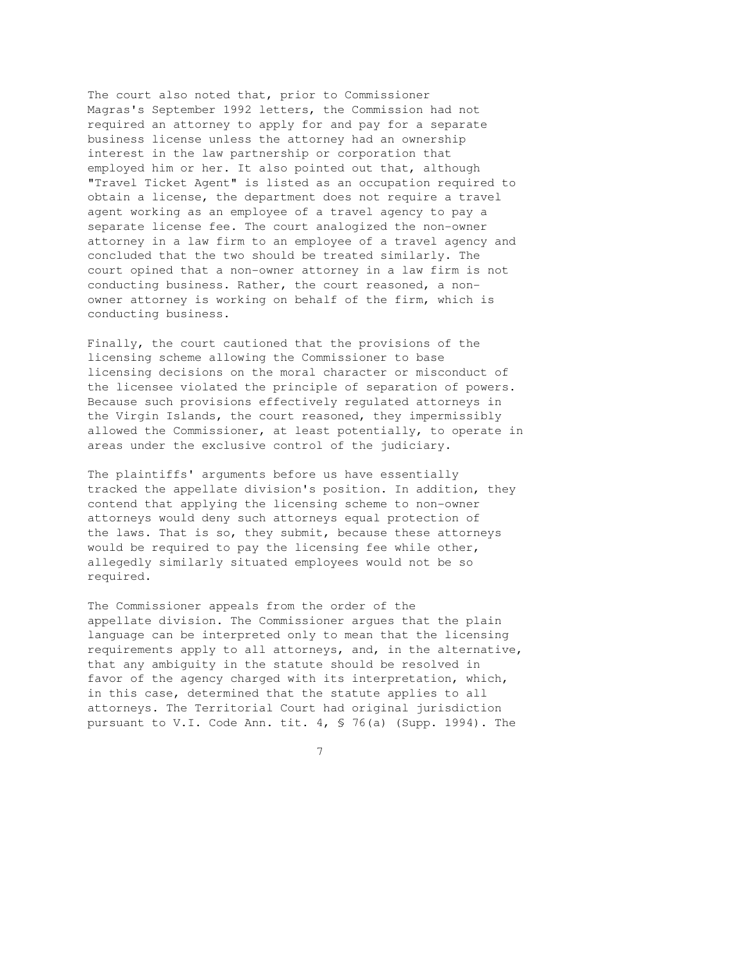The court also noted that, prior to Commissioner Magras's September 1992 letters, the Commission had not required an attorney to apply for and pay for a separate business license unless the attorney had an ownership interest in the law partnership or corporation that employed him or her. It also pointed out that, although "Travel Ticket Agent" is listed as an occupation required to obtain a license, the department does not require a travel agent working as an employee of a travel agency to pay a separate license fee. The court analogized the non-owner attorney in a law firm to an employee of a travel agency and concluded that the two should be treated similarly. The court opined that a non-owner attorney in a law firm is not conducting business. Rather, the court reasoned, a nonowner attorney is working on behalf of the firm, which is conducting business.

Finally, the court cautioned that the provisions of the licensing scheme allowing the Commissioner to base licensing decisions on the moral character or misconduct of the licensee violated the principle of separation of powers. Because such provisions effectively regulated attorneys in the Virgin Islands, the court reasoned, they impermissibly allowed the Commissioner, at least potentially, to operate in areas under the exclusive control of the judiciary.

The plaintiffs' arguments before us have essentially tracked the appellate division's position. In addition, they contend that applying the licensing scheme to non-owner attorneys would deny such attorneys equal protection of the laws. That is so, they submit, because these attorneys would be required to pay the licensing fee while other, allegedly similarly situated employees would not be so required.

The Commissioner appeals from the order of the appellate division. The Commissioner argues that the plain language can be interpreted only to mean that the licensing requirements apply to all attorneys, and, in the alternative, that any ambiguity in the statute should be resolved in favor of the agency charged with its interpretation, which, in this case, determined that the statute applies to all attorneys. The Territorial Court had original jurisdiction pursuant to V.I. Code Ann. tit. 4, § 76(a) (Supp. 1994). The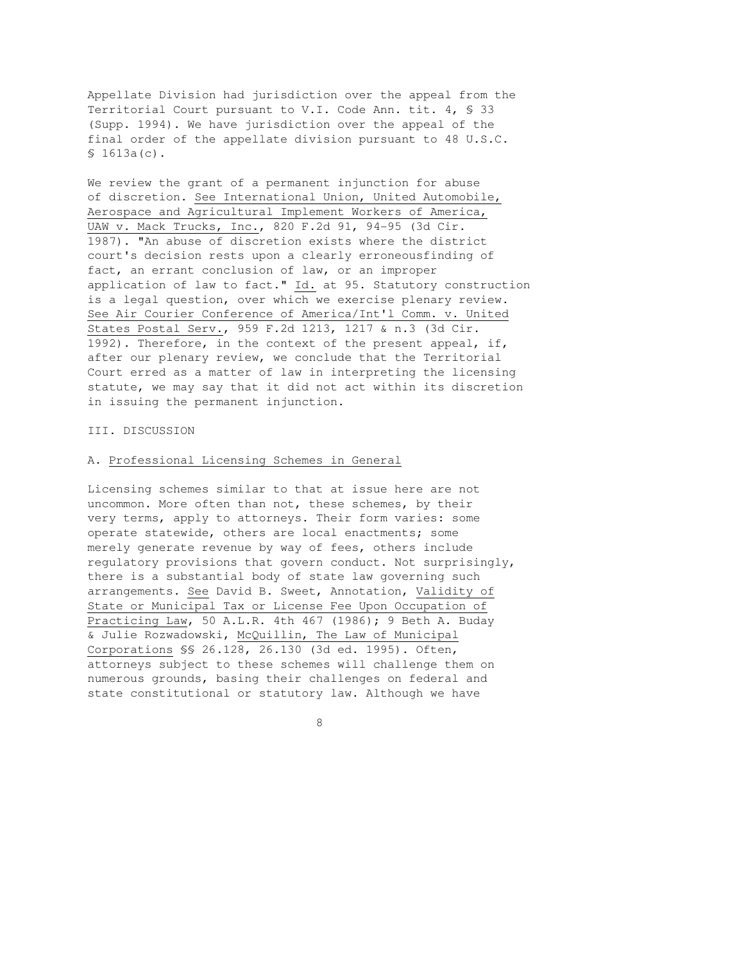Appellate Division had jurisdiction over the appeal from the Territorial Court pursuant to V.I. Code Ann. tit. 4, § 33 (Supp. 1994). We have jurisdiction over the appeal of the final order of the appellate division pursuant to 48 U.S.C. § 1613a(c).

We review the grant of a permanent injunction for abuse of discretion. See International Union, United Automobile, Aerospace and Agricultural Implement Workers of America, UAW v. Mack Trucks, Inc., 820 F.2d 91, 94-95 (3d Cir. 1987). "An abuse of discretion exists where the district court's decision rests upon a clearly erroneousfinding of fact, an errant conclusion of law, or an improper application of law to fact." Id. at 95. Statutory construction is a legal question, over which we exercise plenary review. See Air Courier Conference of America/Int'l Comm. v. United States Postal Serv., 959 F.2d 1213, 1217 & n.3 (3d Cir. 1992). Therefore, in the context of the present appeal, if, after our plenary review, we conclude that the Territorial Court erred as a matter of law in interpreting the licensing statute, we may say that it did not act within its discretion in issuing the permanent injunction.

#### III. DISCUSSION

#### A. Professional Licensing Schemes in General

Licensing schemes similar to that at issue here are not uncommon. More often than not, these schemes, by their very terms, apply to attorneys. Their form varies: some operate statewide, others are local enactments; some merely generate revenue by way of fees, others include regulatory provisions that govern conduct. Not surprisingly, there is a substantial body of state law governing such arrangements. See David B. Sweet, Annotation, Validity of State or Municipal Tax or License Fee Upon Occupation of Practicing Law, 50 A.L.R. 4th 467 (1986); 9 Beth A. Buday & Julie Rozwadowski, McQuillin, The Law of Municipal Corporations §§ 26.128, 26.130 (3d ed. 1995). Often, attorneys subject to these schemes will challenge them on numerous grounds, basing their challenges on federal and state constitutional or statutory law. Although we have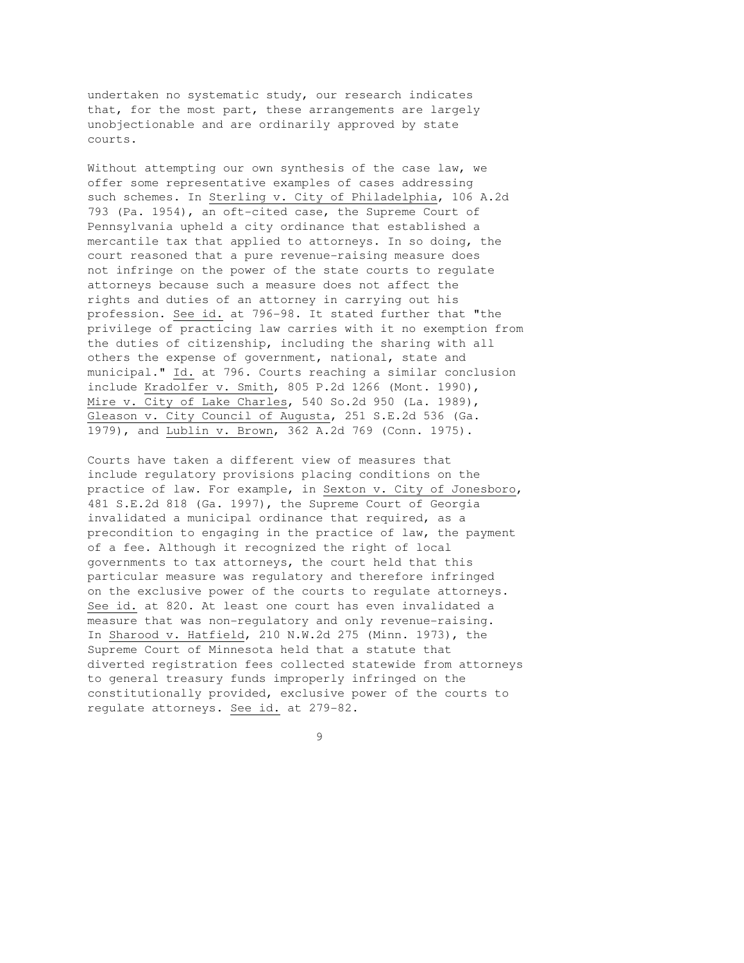undertaken no systematic study, our research indicates that, for the most part, these arrangements are largely unobjectionable and are ordinarily approved by state courts.

Without attempting our own synthesis of the case law, we offer some representative examples of cases addressing such schemes. In Sterling v. City of Philadelphia, 106 A.2d 793 (Pa. 1954), an oft-cited case, the Supreme Court of Pennsylvania upheld a city ordinance that established a mercantile tax that applied to attorneys. In so doing, the court reasoned that a pure revenue-raising measure does not infringe on the power of the state courts to regulate attorneys because such a measure does not affect the rights and duties of an attorney in carrying out his profession. See id. at 796-98. It stated further that "the privilege of practicing law carries with it no exemption from the duties of citizenship, including the sharing with all others the expense of government, national, state and municipal." Id. at 796. Courts reaching a similar conclusion include Kradolfer v. Smith, 805 P.2d 1266 (Mont. 1990), Mire v. City of Lake Charles, 540 So.2d 950 (La. 1989), Gleason v. City Council of Augusta, 251 S.E.2d 536 (Ga. 1979), and Lublin v. Brown, 362 A.2d 769 (Conn. 1975).

Courts have taken a different view of measures that include regulatory provisions placing conditions on the practice of law. For example, in Sexton v. City of Jonesboro, 481 S.E.2d 818 (Ga. 1997), the Supreme Court of Georgia invalidated a municipal ordinance that required, as a precondition to engaging in the practice of law, the payment of a fee. Although it recognized the right of local governments to tax attorneys, the court held that this particular measure was regulatory and therefore infringed on the exclusive power of the courts to regulate attorneys. See id. at 820. At least one court has even invalidated a measure that was non-regulatory and only revenue-raising. In Sharood v. Hatfield, 210 N.W.2d 275 (Minn. 1973), the Supreme Court of Minnesota held that a statute that diverted registration fees collected statewide from attorneys to general treasury funds improperly infringed on the constitutionally provided, exclusive power of the courts to regulate attorneys. See id. at 279-82.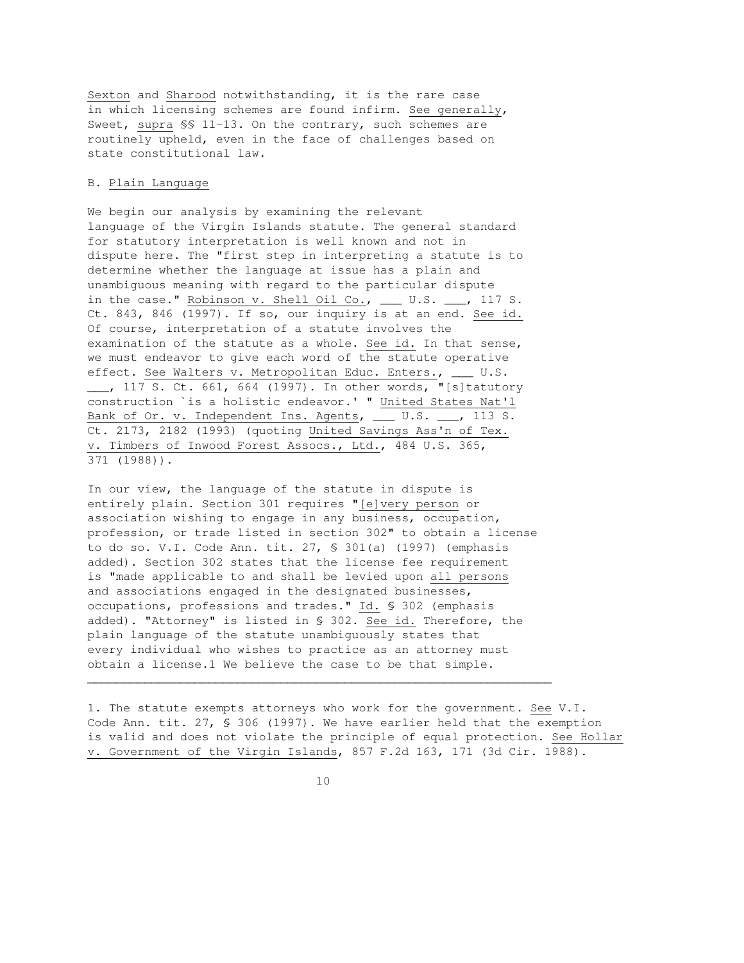Sexton and Sharood notwithstanding, it is the rare case in which licensing schemes are found infirm. See generally, Sweet, supra §§ 11-13. On the contrary, such schemes are routinely upheld, even in the face of challenges based on state constitutional law.

#### B. Plain Language

We begin our analysis by examining the relevant language of the Virgin Islands statute. The general standard for statutory interpretation is well known and not in dispute here. The "first step in interpreting a statute is to determine whether the language at issue has a plain and unambiguous meaning with regard to the particular dispute in the case." Robinson v. Shell Oil Co.,  $\_\_$  U.S.  $\_\_$ , 117 S. Ct. 843, 846 (1997). If so, our inquiry is at an end. See id. Of course, interpretation of a statute involves the examination of the statute as a whole. See id. In that sense, we must endeavor to give each word of the statute operative effect. See Walters v. Metropolitan Educ. Enters., \_\_\_ U.S. \_\_, 117 S. Ct. 661, 664 (1997). In other words, "[s]tatutory construction `is a holistic endeavor.' " United States Nat'l Bank of Or. v. Independent Ins. Agents, \_\_\_ U.S. \_\_\_, 113 S. Ct. 2173, 2182 (1993) (quoting United Savings Ass'n of Tex. v. Timbers of Inwood Forest Assocs., Ltd., 484 U.S. 365, 371 (1988)).

In our view, the language of the statute in dispute is entirely plain. Section 301 requires "[e]very person or association wishing to engage in any business, occupation, profession, or trade listed in section 302" to obtain a license to do so. V.I. Code Ann. tit. 27, § 301(a) (1997) (emphasis added). Section 302 states that the license fee requirement is "made applicable to and shall be levied upon all persons and associations engaged in the designated businesses, occupations, professions and trades." Id. § 302 (emphasis added). "Attorney" is listed in § 302. See id. Therefore, the plain language of the statute unambiguously states that every individual who wishes to practice as an attorney must obtain a license.1 We believe the case to be that simple.

1. The statute exempts attorneys who work for the government. See V.I. Code Ann. tit. 27, § 306 (1997). We have earlier held that the exemption is valid and does not violate the principle of equal protection. See Hollar v. Government of the Virgin Islands, 857 F.2d 163, 171 (3d Cir. 1988).

 $\overline{\phantom{a}}$  , and the contribution of the contribution of the contribution of the contribution of the contribution of the contribution of the contribution of the contribution of the contribution of the contribution of the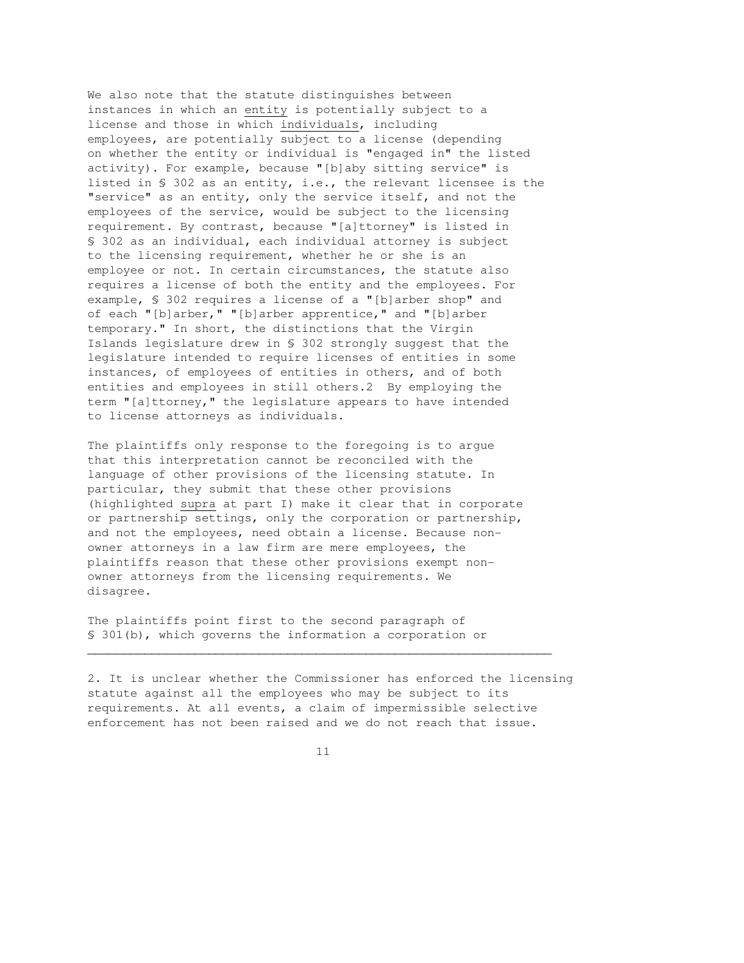We also note that the statute distinguishes between instances in which an entity is potentially subject to a license and those in which individuals, including employees, are potentially subject to a license (depending on whether the entity or individual is "engaged in" the listed activity). For example, because "[b]aby sitting service" is listed in § 302 as an entity, i.e., the relevant licensee is the "service" as an entity, only the service itself, and not the employees of the service, would be subject to the licensing requirement. By contrast, because "[a]ttorney" is listed in § 302 as an individual, each individual attorney is subject to the licensing requirement, whether he or she is an employee or not. In certain circumstances, the statute also requires a license of both the entity and the employees. For example, § 302 requires a license of a "[b]arber shop" and of each "[b]arber," "[b]arber apprentice," and "[b]arber temporary." In short, the distinctions that the Virgin Islands legislature drew in § 302 strongly suggest that the legislature intended to require licenses of entities in some instances, of employees of entities in others, and of both entities and employees in still others.2 By employing the term "[a]ttorney," the legislature appears to have intended to license attorneys as individuals.

The plaintiffs only response to the foregoing is to argue that this interpretation cannot be reconciled with the language of other provisions of the licensing statute. In particular, they submit that these other provisions (highlighted supra at part I) make it clear that in corporate or partnership settings, only the corporation or partnership, and not the employees, need obtain a license. Because nonowner attorneys in a law firm are mere employees, the plaintiffs reason that these other provisions exempt nonowner attorneys from the licensing requirements. We disagree.

The plaintiffs point first to the second paragraph of § 301(b), which governs the information a corporation or

2. It is unclear whether the Commissioner has enforced the licensing statute against all the employees who may be subject to its requirements. At all events, a claim of impermissible selective enforcement has not been raised and we do not reach that issue.

 $\overline{\phantom{a}}$  , and the contribution of the contribution of the contribution of the contribution of the contribution of the contribution of the contribution of the contribution of the contribution of the contribution of the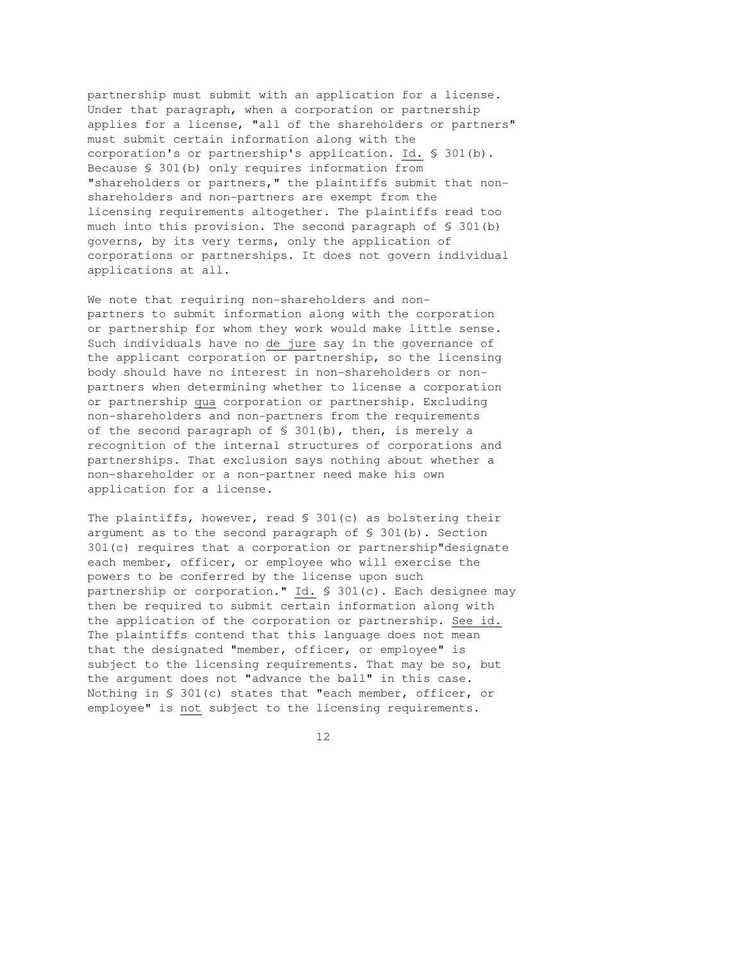partnership must submit with an application for a license. Under that paragraph, when a corporation or partnership applies for a license, "all of the shareholders or partners" must submit certain information along with the corporation's or partnership's application. Id. § 301(b). Because § 301(b) only requires information from "shareholders or partners," the plaintiffs submit that nonshareholders and non-partners are exempt from the licensing requirements altogether. The plaintiffs read too much into this provision. The second paragraph of § 301(b) governs, by its very terms, only the application of corporations or partnerships. It does not govern individual applications at all.

We note that requiring non-shareholders and nonpartners to submit information along with the corporation or partnership for whom they work would make little sense. Such individuals have no de jure say in the governance of the applicant corporation or partnership, so the licensing body should have no interest in non-shareholders or nonpartners when determining whether to license a corporation or partnership qua corporation or partnership. Excluding non-shareholders and non-partners from the requirements of the second paragraph of § 301(b), then, is merely a recognition of the internal structures of corporations and partnerships. That exclusion says nothing about whether a non-shareholder or a non-partner need make his own application for a license.

The plaintiffs, however, read § 301(c) as bolstering their argument as to the second paragraph of § 301(b). Section 301(c) requires that a corporation or partnership"designate each member, officer, or employee who will exercise the powers to be conferred by the license upon such partnership or corporation." Id. § 301(c). Each designee may then be required to submit certain information along with the application of the corporation or partnership. See id. The plaintiffs contend that this language does not mean that the designated "member, officer, or employee" is subject to the licensing requirements. That may be so, but the argument does not "advance the ball" in this case. Nothing in § 301(c) states that "each member, officer, or employee" is not subject to the licensing requirements.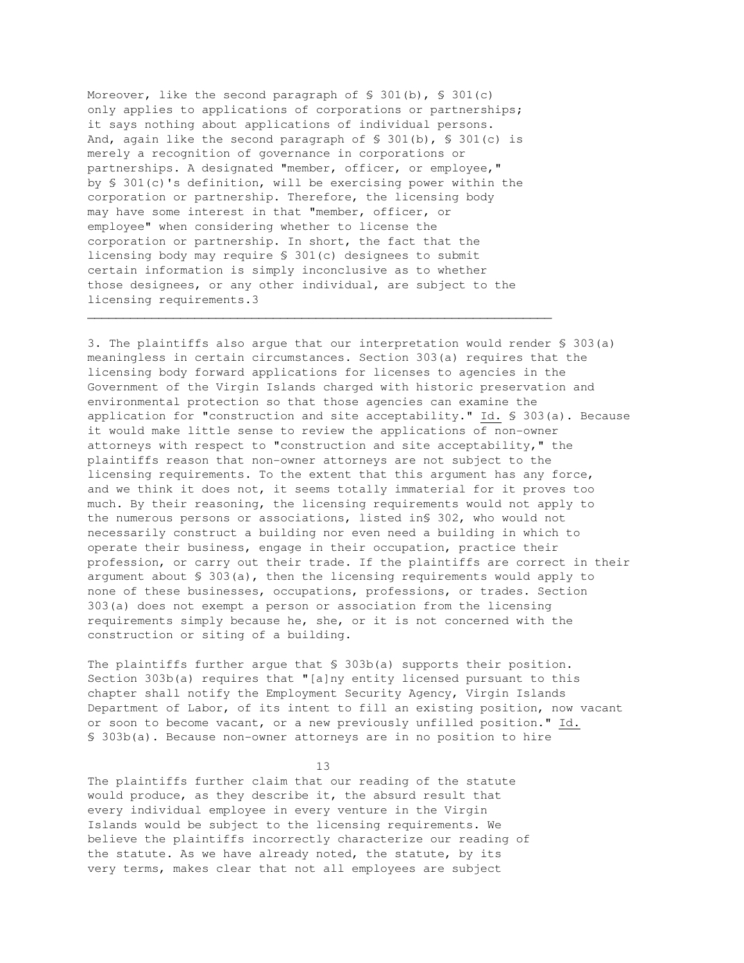Moreover, like the second paragraph of  $\S$  301(b),  $\S$  301(c) only applies to applications of corporations or partnerships; it says nothing about applications of individual persons. And, again like the second paragraph of  $\$$  301(b),  $\$$  301(c) is merely a recognition of governance in corporations or partnerships. A designated "member, officer, or employee," by § 301(c)'s definition, will be exercising power within the corporation or partnership. Therefore, the licensing body may have some interest in that "member, officer, or employee" when considering whether to license the corporation or partnership. In short, the fact that the licensing body may require § 301(c) designees to submit certain information is simply inconclusive as to whether those designees, or any other individual, are subject to the licensing requirements.3

 $\overline{\phantom{a}}$  , and the contribution of the contribution of the contribution of the contribution of the contribution of the contribution of the contribution of the contribution of the contribution of the contribution of the

3. The plaintiffs also argue that our interpretation would render § 303(a) meaningless in certain circumstances. Section 303(a) requires that the licensing body forward applications for licenses to agencies in the Government of the Virgin Islands charged with historic preservation and environmental protection so that those agencies can examine the application for "construction and site acceptability." Id. § 303(a). Because it would make little sense to review the applications of non-owner attorneys with respect to "construction and site acceptability," the plaintiffs reason that non-owner attorneys are not subject to the licensing requirements. To the extent that this argument has any force, and we think it does not, it seems totally immaterial for it proves too much. By their reasoning, the licensing requirements would not apply to the numerous persons or associations, listed in§ 302, who would not necessarily construct a building nor even need a building in which to operate their business, engage in their occupation, practice their profession, or carry out their trade. If the plaintiffs are correct in their argument about  $\S$  303(a), then the licensing requirements would apply to none of these businesses, occupations, professions, or trades. Section 303(a) does not exempt a person or association from the licensing requirements simply because he, she, or it is not concerned with the construction or siting of a building.

The plaintiffs further argue that § 303b(a) supports their position. Section 303b(a) requires that "[a]ny entity licensed pursuant to this chapter shall notify the Employment Security Agency, Virgin Islands Department of Labor, of its intent to fill an existing position, now vacant or soon to become vacant, or a new previously unfilled position." Id. § 303b(a). Because non-owner attorneys are in no position to hire

13

The plaintiffs further claim that our reading of the statute would produce, as they describe it, the absurd result that every individual employee in every venture in the Virgin Islands would be subject to the licensing requirements. We believe the plaintiffs incorrectly characterize our reading of the statute. As we have already noted, the statute, by its very terms, makes clear that not all employees are subject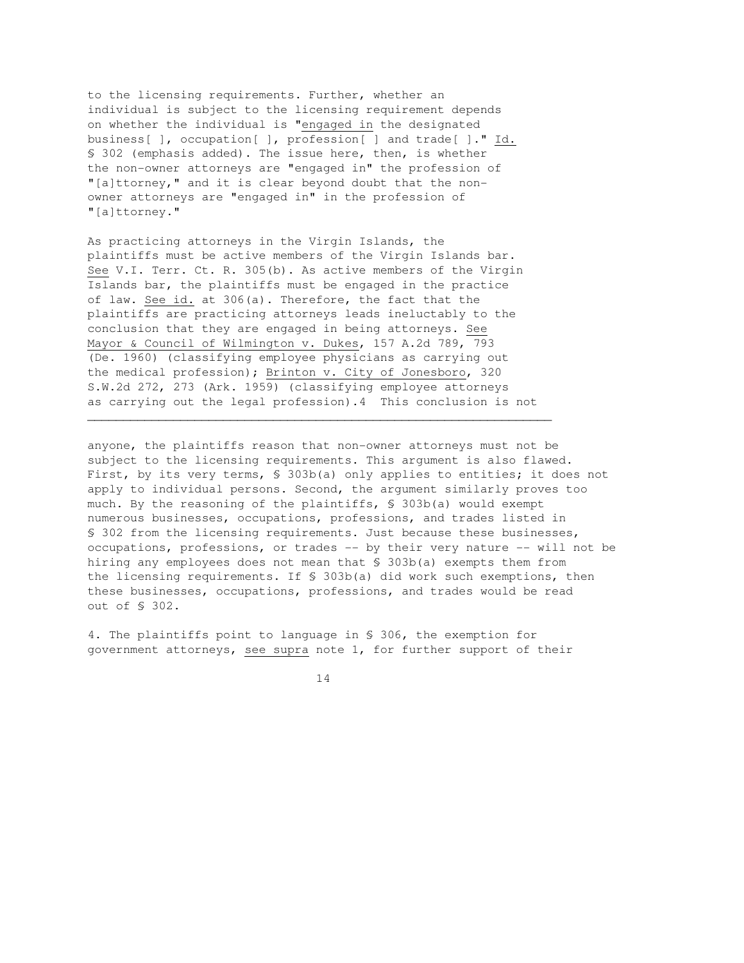to the licensing requirements. Further, whether an individual is subject to the licensing requirement depends on whether the individual is "engaged in the designated business[ ], occupation[ ], profession[ ] and trade[ ]." Id. § 302 (emphasis added). The issue here, then, is whether the non-owner attorneys are "engaged in" the profession of "[a]ttorney," and it is clear beyond doubt that the nonowner attorneys are "engaged in" in the profession of "[a]ttorney."

As practicing attorneys in the Virgin Islands, the plaintiffs must be active members of the Virgin Islands bar. See V.I. Terr. Ct. R. 305(b). As active members of the Virgin Islands bar, the plaintiffs must be engaged in the practice of law. See id. at 306(a). Therefore, the fact that the plaintiffs are practicing attorneys leads ineluctably to the conclusion that they are engaged in being attorneys. See Mayor & Council of Wilmington v. Dukes, 157 A.2d 789, 793 (De. 1960) (classifying employee physicians as carrying out the medical profession); Brinton v. City of Jonesboro, 320 S.W.2d 272, 273 (Ark. 1959) (classifying employee attorneys as carrying out the legal profession).4 This conclusion is not

 $\overline{\phantom{a}}$  , and the contribution of the contribution of the contribution of the contribution of the contribution of the contribution of the contribution of the contribution of the contribution of the contribution of the

anyone, the plaintiffs reason that non-owner attorneys must not be subject to the licensing requirements. This argument is also flawed. First, by its very terms, § 303b(a) only applies to entities; it does not apply to individual persons. Second, the argument similarly proves too much. By the reasoning of the plaintiffs, § 303b(a) would exempt numerous businesses, occupations, professions, and trades listed in § 302 from the licensing requirements. Just because these businesses, occupations, professions, or trades -- by their very nature -- will not be hiring any employees does not mean that § 303b(a) exempts them from the licensing requirements. If § 303b(a) did work such exemptions, then these businesses, occupations, professions, and trades would be read out of § 302.

4. The plaintiffs point to language in § 306, the exemption for government attorneys, see supra note 1, for further support of their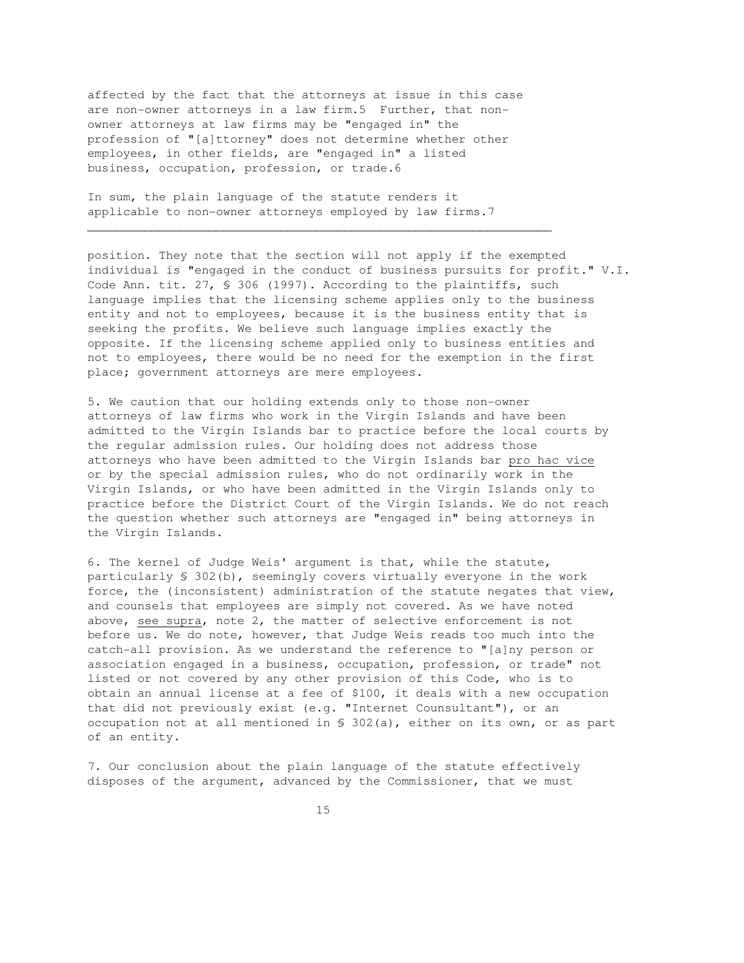affected by the fact that the attorneys at issue in this case are non-owner attorneys in a law firm.5 Further, that nonowner attorneys at law firms may be "engaged in" the profession of "[a]ttorney" does not determine whether other employees, in other fields, are "engaged in" a listed business, occupation, profession, or trade.6

In sum, the plain language of the statute renders it applicable to non-owner attorneys employed by law firms.7

 $\overline{\phantom{a}}$  , and the contribution of the contribution of the contribution of the contribution of the contribution of the contribution of the contribution of the contribution of the contribution of the contribution of the

position. They note that the section will not apply if the exempted individual is "engaged in the conduct of business pursuits for profit." V.I. Code Ann. tit. 27, § 306 (1997). According to the plaintiffs, such language implies that the licensing scheme applies only to the business entity and not to employees, because it is the business entity that is seeking the profits. We believe such language implies exactly the opposite. If the licensing scheme applied only to business entities and not to employees, there would be no need for the exemption in the first place; government attorneys are mere employees.

5. We caution that our holding extends only to those non-owner attorneys of law firms who work in the Virgin Islands and have been admitted to the Virgin Islands bar to practice before the local courts by the regular admission rules. Our holding does not address those attorneys who have been admitted to the Virgin Islands bar pro hac vice or by the special admission rules, who do not ordinarily work in the Virgin Islands, or who have been admitted in the Virgin Islands only to practice before the District Court of the Virgin Islands. We do not reach the question whether such attorneys are "engaged in" being attorneys in the Virgin Islands.

6. The kernel of Judge Weis' argument is that, while the statute, particularly § 302(b), seemingly covers virtually everyone in the work force, the (inconsistent) administration of the statute negates that view, and counsels that employees are simply not covered. As we have noted above, see supra, note 2, the matter of selective enforcement is not before us. We do note, however, that Judge Weis reads too much into the catch-all provision. As we understand the reference to "[a]ny person or association engaged in a business, occupation, profession, or trade" not listed or not covered by any other provision of this Code, who is to obtain an annual license at a fee of \$100, it deals with a new occupation that did not previously exist (e.g. "Internet Counsultant"), or an occupation not at all mentioned in § 302(a), either on its own, or as part of an entity.

7. Our conclusion about the plain language of the statute effectively disposes of the argument, advanced by the Commissioner, that we must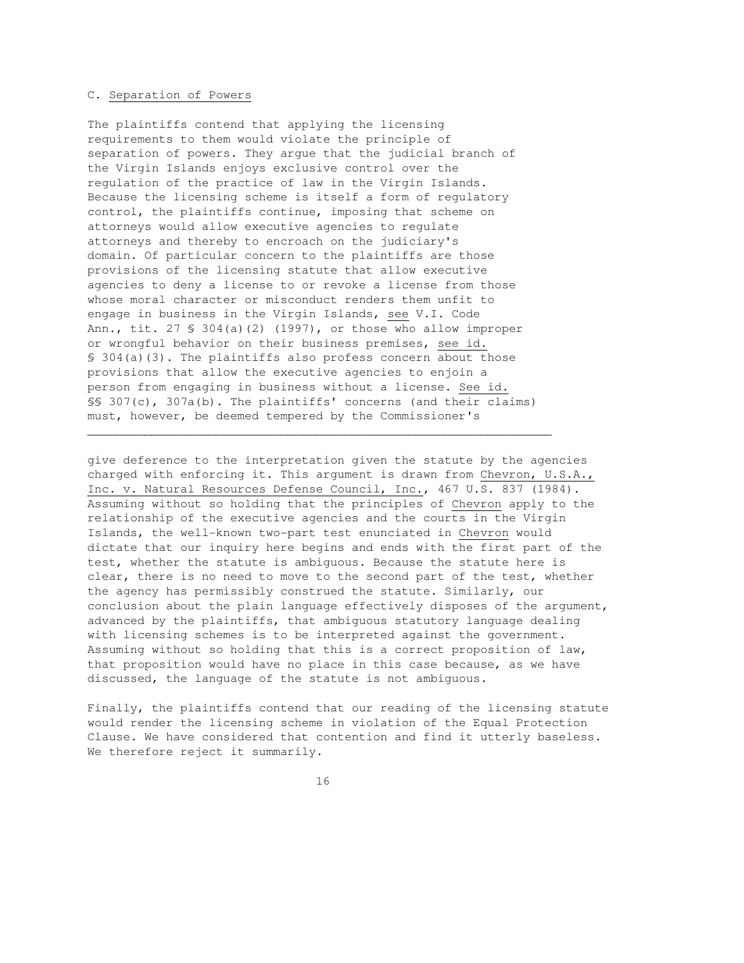## C. Separation of Powers

The plaintiffs contend that applying the licensing requirements to them would violate the principle of separation of powers. They argue that the judicial branch of the Virgin Islands enjoys exclusive control over the regulation of the practice of law in the Virgin Islands. Because the licensing scheme is itself a form of regulatory control, the plaintiffs continue, imposing that scheme on attorneys would allow executive agencies to regulate attorneys and thereby to encroach on the judiciary's domain. Of particular concern to the plaintiffs are those provisions of the licensing statute that allow executive agencies to deny a license to or revoke a license from those whose moral character or misconduct renders them unfit to engage in business in the Virgin Islands, see V.I. Code Ann., tit.  $27 \text{ } S$  304(a)(2) (1997), or those who allow improper or wrongful behavior on their business premises, see id. § 304(a)(3). The plaintiffs also profess concern about those provisions that allow the executive agencies to enjoin a person from engaging in business without a license. See id. §§ 307(c), 307a(b). The plaintiffs' concerns (and their claims) must, however, be deemed tempered by the Commissioner's

 $\overline{\phantom{a}}$  , and the contribution of the contribution of the contribution of the contribution of the contribution of the contribution of the contribution of the contribution of the contribution of the contribution of the

give deference to the interpretation given the statute by the agencies charged with enforcing it. This argument is drawn from Chevron, U.S.A., Inc. v. Natural Resources Defense Council, Inc., 467 U.S. 837 (1984). Assuming without so holding that the principles of Chevron apply to the relationship of the executive agencies and the courts in the Virgin Islands, the well-known two-part test enunciated in Chevron would dictate that our inquiry here begins and ends with the first part of the test, whether the statute is ambiguous. Because the statute here is clear, there is no need to move to the second part of the test, whether the agency has permissibly construed the statute. Similarly, our conclusion about the plain language effectively disposes of the argument, advanced by the plaintiffs, that ambiguous statutory language dealing with licensing schemes is to be interpreted against the government. Assuming without so holding that this is a correct proposition of law, that proposition would have no place in this case because, as we have discussed, the language of the statute is not ambiguous.

Finally, the plaintiffs contend that our reading of the licensing statute would render the licensing scheme in violation of the Equal Protection Clause. We have considered that contention and find it utterly baseless. We therefore reject it summarily.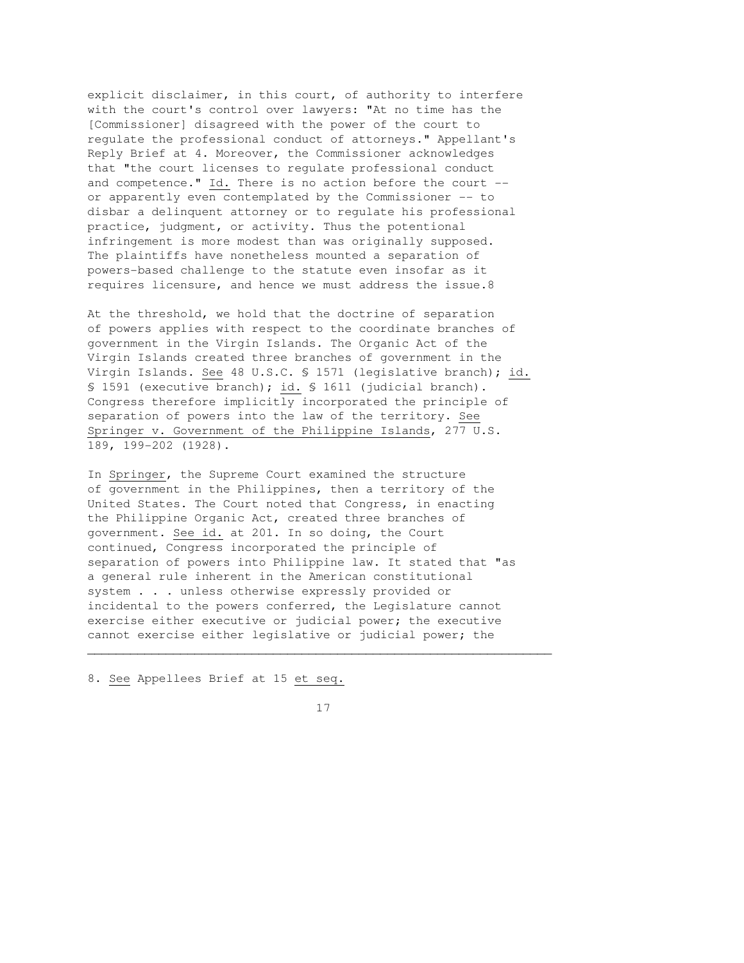explicit disclaimer, in this court, of authority to interfere with the court's control over lawyers: "At no time has the [Commissioner] disagreed with the power of the court to regulate the professional conduct of attorneys." Appellant's Reply Brief at 4. Moreover, the Commissioner acknowledges that "the court licenses to regulate professional conduct and competence." Id. There is no action before the court - or apparently even contemplated by the Commissioner -- to disbar a delinquent attorney or to regulate his professional practice, judgment, or activity. Thus the potentional infringement is more modest than was originally supposed. The plaintiffs have nonetheless mounted a separation of powers-based challenge to the statute even insofar as it requires licensure, and hence we must address the issue.8

At the threshold, we hold that the doctrine of separation of powers applies with respect to the coordinate branches of government in the Virgin Islands. The Organic Act of the Virgin Islands created three branches of government in the Virgin Islands. See 48 U.S.C. § 1571 (legislative branch); id. § 1591 (executive branch); id. § 1611 (judicial branch). Congress therefore implicitly incorporated the principle of separation of powers into the law of the territory. See Springer v. Government of the Philippine Islands, 277 U.S. 189, 199-202 (1928).

In Springer, the Supreme Court examined the structure of government in the Philippines, then a territory of the United States. The Court noted that Congress, in enacting the Philippine Organic Act, created three branches of government. See id. at 201. In so doing, the Court continued, Congress incorporated the principle of separation of powers into Philippine law. It stated that "as a general rule inherent in the American constitutional system . . . unless otherwise expressly provided or incidental to the powers conferred, the Legislature cannot exercise either executive or judicial power; the executive cannot exercise either legislative or judicial power; the

8. See Appellees Brief at 15 et seq.

17

 $\overline{\phantom{a}}$  , and the contribution of the contribution of the contribution of the contribution of the contribution of the contribution of the contribution of the contribution of the contribution of the contribution of the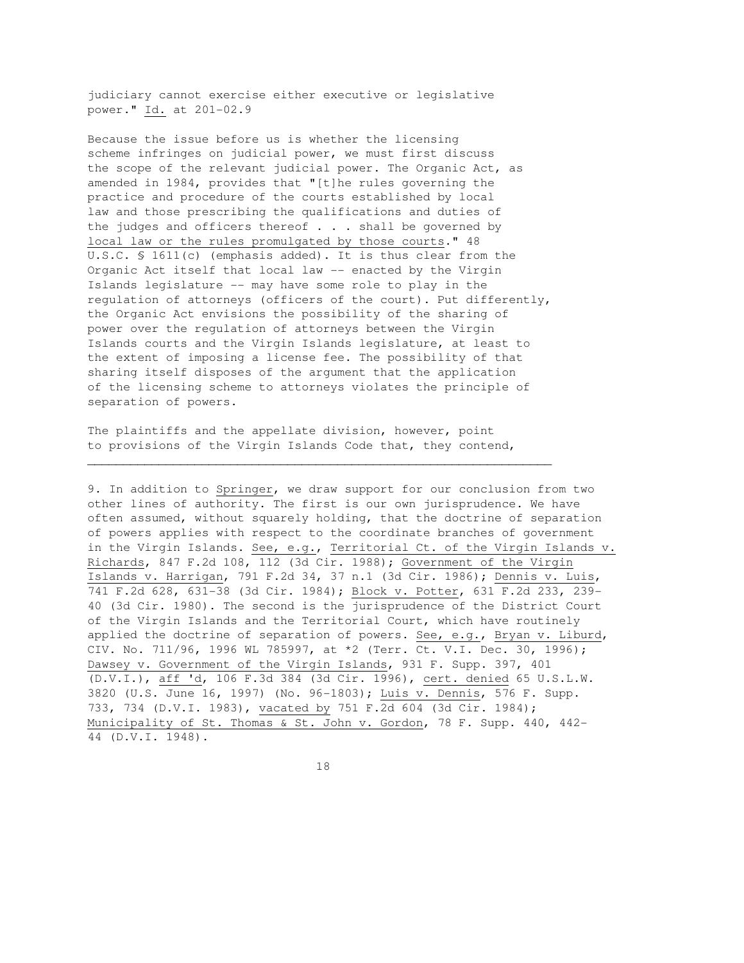judiciary cannot exercise either executive or legislative power." Id. at 201-02.9

Because the issue before us is whether the licensing scheme infringes on judicial power, we must first discuss the scope of the relevant judicial power. The Organic Act, as amended in 1984, provides that "[t]he rules governing the practice and procedure of the courts established by local law and those prescribing the qualifications and duties of the judges and officers thereof  $\ldots$  shall be governed by local law or the rules promulgated by those courts." 48 U.S.C. § 1611(c) (emphasis added). It is thus clear from the Organic Act itself that local law -- enacted by the Virgin Islands legislature -- may have some role to play in the regulation of attorneys (officers of the court). Put differently, the Organic Act envisions the possibility of the sharing of power over the regulation of attorneys between the Virgin Islands courts and the Virgin Islands legislature, at least to the extent of imposing a license fee. The possibility of that sharing itself disposes of the argument that the application of the licensing scheme to attorneys violates the principle of separation of powers.

The plaintiffs and the appellate division, however, point to provisions of the Virgin Islands Code that, they contend,

 $\overline{\phantom{a}}$  , and the contribution of the contribution of the contribution of the contribution of the contribution of the contribution of the contribution of the contribution of the contribution of the contribution of the

9. In addition to Springer, we draw support for our conclusion from two other lines of authority. The first is our own jurisprudence. We have often assumed, without squarely holding, that the doctrine of separation of powers applies with respect to the coordinate branches of government in the Virgin Islands. See, e.g., Territorial Ct. of the Virgin Islands v. Richards, 847 F.2d 108, 112 (3d Cir. 1988); Government of the Virgin Islands v. Harrigan, 791 F.2d 34, 37 n.1 (3d Cir. 1986); Dennis v. Luis, 741 F.2d 628, 631-38 (3d Cir. 1984); Block v. Potter, 631 F.2d 233, 239- 40 (3d Cir. 1980). The second is the jurisprudence of the District Court of the Virgin Islands and the Territorial Court, which have routinely applied the doctrine of separation of powers. See, e.g., Bryan v. Liburd, CIV. No. 711/96, 1996 WL 785997, at \*2 (Terr. Ct. V.I. Dec. 30, 1996); Dawsey v. Government of the Virgin Islands, 931 F. Supp. 397, 401 (D.V.I.), aff 'd, 106 F.3d 384 (3d Cir. 1996), cert. denied 65 U.S.L.W. 3820 (U.S. June 16, 1997) (No. 96-1803); Luis v. Dennis, 576 F. Supp. 733, 734 (D.V.I. 1983), vacated by 751 F.2d 604 (3d Cir. 1984); Municipality of St. Thomas & St. John v. Gordon, 78 F. Supp. 440, 442- 44 (D.V.I. 1948).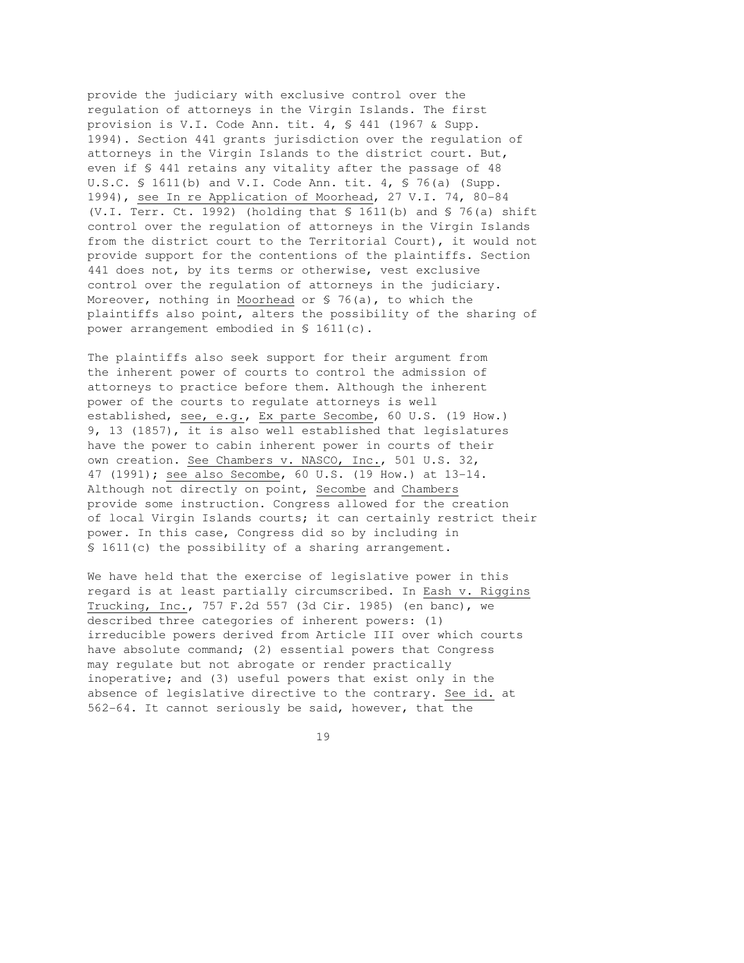provide the judiciary with exclusive control over the regulation of attorneys in the Virgin Islands. The first provision is V.I. Code Ann. tit. 4, § 441 (1967 & Supp. 1994). Section 441 grants jurisdiction over the regulation of attorneys in the Virgin Islands to the district court. But, even if § 441 retains any vitality after the passage of 48 U.S.C. § 1611(b) and V.I. Code Ann. tit. 4, § 76(a) (Supp. 1994), see In re Application of Moorhead, 27 V.I. 74, 80-84 (V.I. Terr. Ct. 1992) (holding that § 1611(b) and § 76(a) shift control over the regulation of attorneys in the Virgin Islands from the district court to the Territorial Court), it would not provide support for the contentions of the plaintiffs. Section 441 does not, by its terms or otherwise, vest exclusive control over the regulation of attorneys in the judiciary. Moreover, nothing in Moorhead or § 76(a), to which the plaintiffs also point, alters the possibility of the sharing of power arrangement embodied in § 1611(c).

The plaintiffs also seek support for their argument from the inherent power of courts to control the admission of attorneys to practice before them. Although the inherent power of the courts to regulate attorneys is well established, see, e.g., Ex parte Secombe, 60 U.S. (19 How.) 9, 13 (1857), it is also well established that legislatures have the power to cabin inherent power in courts of their own creation. See Chambers v. NASCO, Inc., 501 U.S. 32, 47 (1991); see also Secombe, 60 U.S. (19 How.) at 13-14. Although not directly on point, Secombe and Chambers provide some instruction. Congress allowed for the creation of local Virgin Islands courts; it can certainly restrict their power. In this case, Congress did so by including in § 1611(c) the possibility of a sharing arrangement.

We have held that the exercise of legislative power in this regard is at least partially circumscribed. In Eash v. Riggins Trucking, Inc., 757 F.2d 557 (3d Cir. 1985) (en banc), we described three categories of inherent powers: (1) irreducible powers derived from Article III over which courts have absolute command; (2) essential powers that Congress may regulate but not abrogate or render practically inoperative; and (3) useful powers that exist only in the absence of legislative directive to the contrary. See id. at 562-64. It cannot seriously be said, however, that the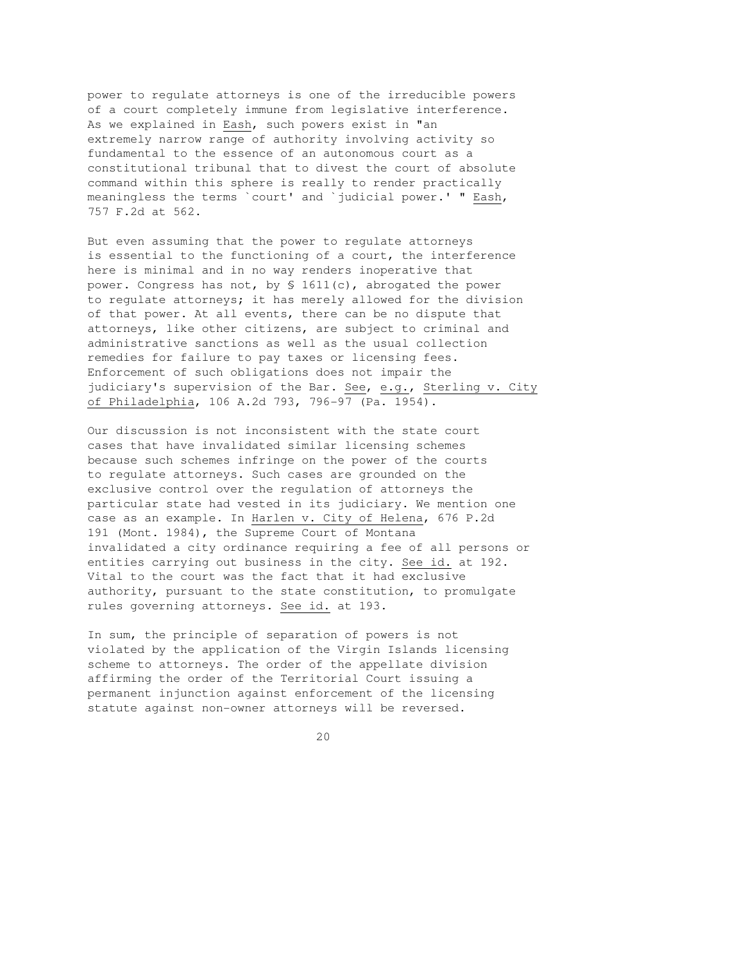power to regulate attorneys is one of the irreducible powers of a court completely immune from legislative interference. As we explained in Eash, such powers exist in "an extremely narrow range of authority involving activity so fundamental to the essence of an autonomous court as a constitutional tribunal that to divest the court of absolute command within this sphere is really to render practically meaningless the terms `court' and `judicial power.' " Eash, 757 F.2d at 562.

But even assuming that the power to regulate attorneys is essential to the functioning of a court, the interference here is minimal and in no way renders inoperative that power. Congress has not, by § 1611(c), abrogated the power to regulate attorneys; it has merely allowed for the division of that power. At all events, there can be no dispute that attorneys, like other citizens, are subject to criminal and administrative sanctions as well as the usual collection remedies for failure to pay taxes or licensing fees. Enforcement of such obligations does not impair the judiciary's supervision of the Bar. See, e.g., Sterling v. City of Philadelphia, 106 A.2d 793, 796-97 (Pa. 1954).

Our discussion is not inconsistent with the state court cases that have invalidated similar licensing schemes because such schemes infringe on the power of the courts to regulate attorneys. Such cases are grounded on the exclusive control over the regulation of attorneys the particular state had vested in its judiciary. We mention one case as an example. In Harlen v. City of Helena, 676 P.2d 191 (Mont. 1984), the Supreme Court of Montana invalidated a city ordinance requiring a fee of all persons or entities carrying out business in the city. See id. at 192. Vital to the court was the fact that it had exclusive authority, pursuant to the state constitution, to promulgate rules governing attorneys. See id. at 193.

In sum, the principle of separation of powers is not violated by the application of the Virgin Islands licensing scheme to attorneys. The order of the appellate division affirming the order of the Territorial Court issuing a permanent injunction against enforcement of the licensing statute against non-owner attorneys will be reversed.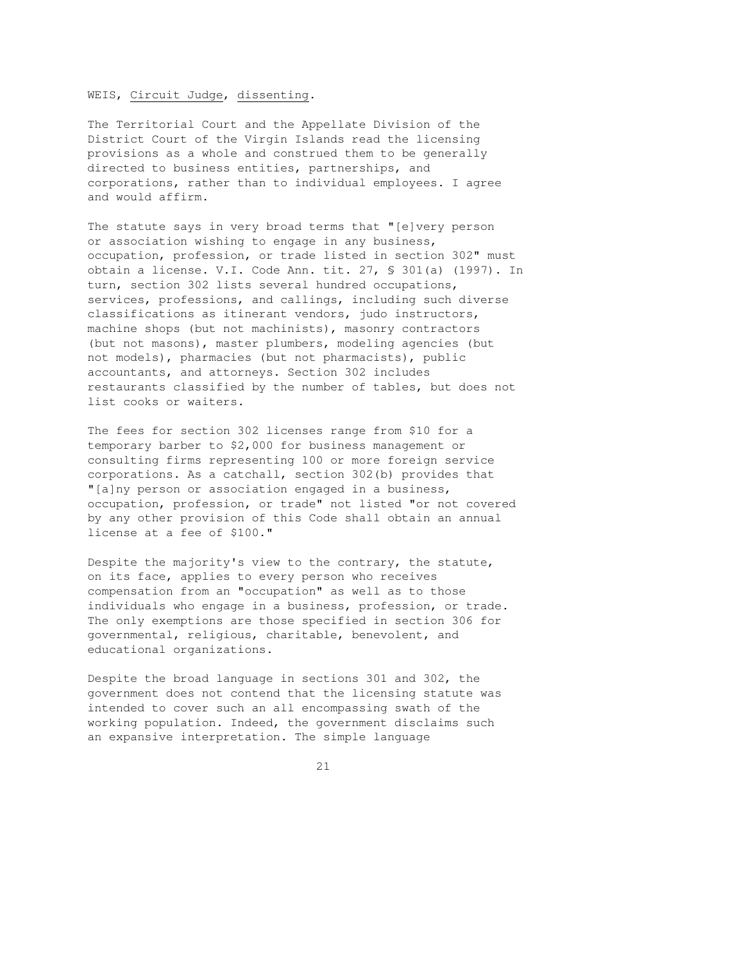### WEIS, Circuit Judge, dissenting.

The Territorial Court and the Appellate Division of the District Court of the Virgin Islands read the licensing provisions as a whole and construed them to be generally directed to business entities, partnerships, and corporations, rather than to individual employees. I agree and would affirm.

The statute says in very broad terms that "[e]very person or association wishing to engage in any business, occupation, profession, or trade listed in section 302" must obtain a license. V.I. Code Ann. tit. 27, § 301(a) (1997). In turn, section 302 lists several hundred occupations, services, professions, and callings, including such diverse classifications as itinerant vendors, judo instructors, machine shops (but not machinists), masonry contractors (but not masons), master plumbers, modeling agencies (but not models), pharmacies (but not pharmacists), public accountants, and attorneys. Section 302 includes restaurants classified by the number of tables, but does not list cooks or waiters.

The fees for section 302 licenses range from \$10 for a temporary barber to \$2,000 for business management or consulting firms representing 100 or more foreign service corporations. As a catchall, section 302(b) provides that "[a]ny person or association engaged in a business, occupation, profession, or trade" not listed "or not covered by any other provision of this Code shall obtain an annual license at a fee of \$100."

Despite the majority's view to the contrary, the statute, on its face, applies to every person who receives compensation from an "occupation" as well as to those individuals who engage in a business, profession, or trade. The only exemptions are those specified in section 306 for governmental, religious, charitable, benevolent, and educational organizations.

Despite the broad language in sections 301 and 302, the government does not contend that the licensing statute was intended to cover such an all encompassing swath of the working population. Indeed, the government disclaims such an expansive interpretation. The simple language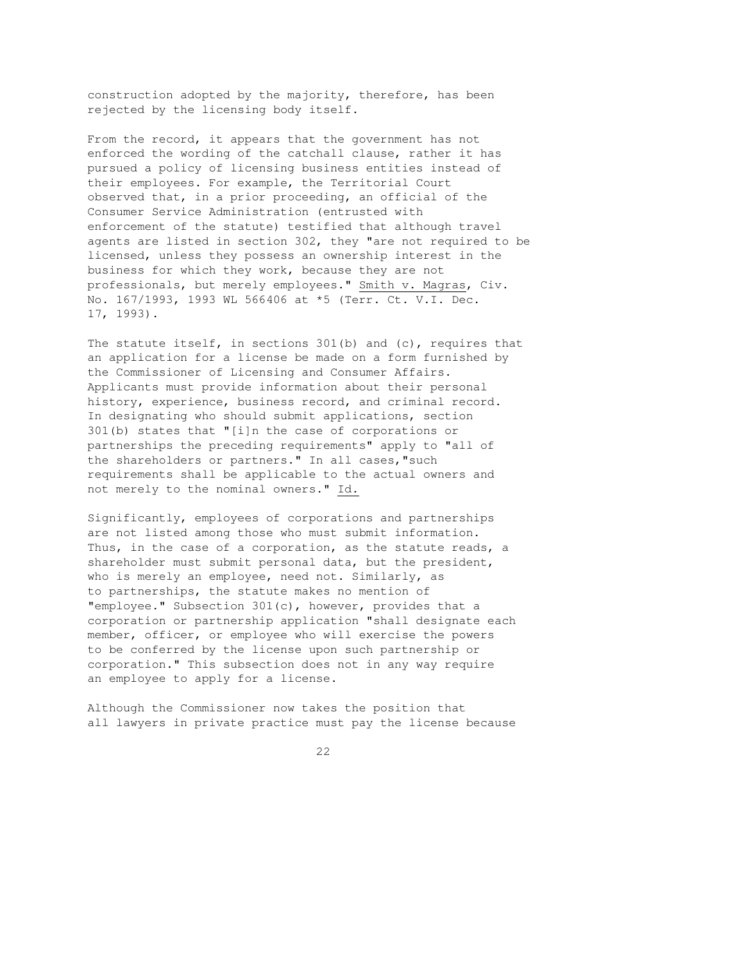construction adopted by the majority, therefore, has been rejected by the licensing body itself.

From the record, it appears that the government has not enforced the wording of the catchall clause, rather it has pursued a policy of licensing business entities instead of their employees. For example, the Territorial Court observed that, in a prior proceeding, an official of the Consumer Service Administration (entrusted with enforcement of the statute) testified that although travel agents are listed in section 302, they "are not required to be licensed, unless they possess an ownership interest in the business for which they work, because they are not professionals, but merely employees." Smith v. Magras, Civ. No. 167/1993, 1993 WL 566406 at \*5 (Terr. Ct. V.I. Dec. 17, 1993).

The statute itself, in sections 301(b) and (c), requires that an application for a license be made on a form furnished by the Commissioner of Licensing and Consumer Affairs. Applicants must provide information about their personal history, experience, business record, and criminal record. In designating who should submit applications, section 301(b) states that "[i]n the case of corporations or partnerships the preceding requirements" apply to "all of the shareholders or partners." In all cases,"such requirements shall be applicable to the actual owners and not merely to the nominal owners." Id.

Significantly, employees of corporations and partnerships are not listed among those who must submit information. Thus, in the case of a corporation, as the statute reads, a shareholder must submit personal data, but the president, who is merely an employee, need not. Similarly, as to partnerships, the statute makes no mention of "employee." Subsection 301(c), however, provides that a corporation or partnership application "shall designate each member, officer, or employee who will exercise the powers to be conferred by the license upon such partnership or corporation." This subsection does not in any way require an employee to apply for a license.

Although the Commissioner now takes the position that all lawyers in private practice must pay the license because

<u>22</u>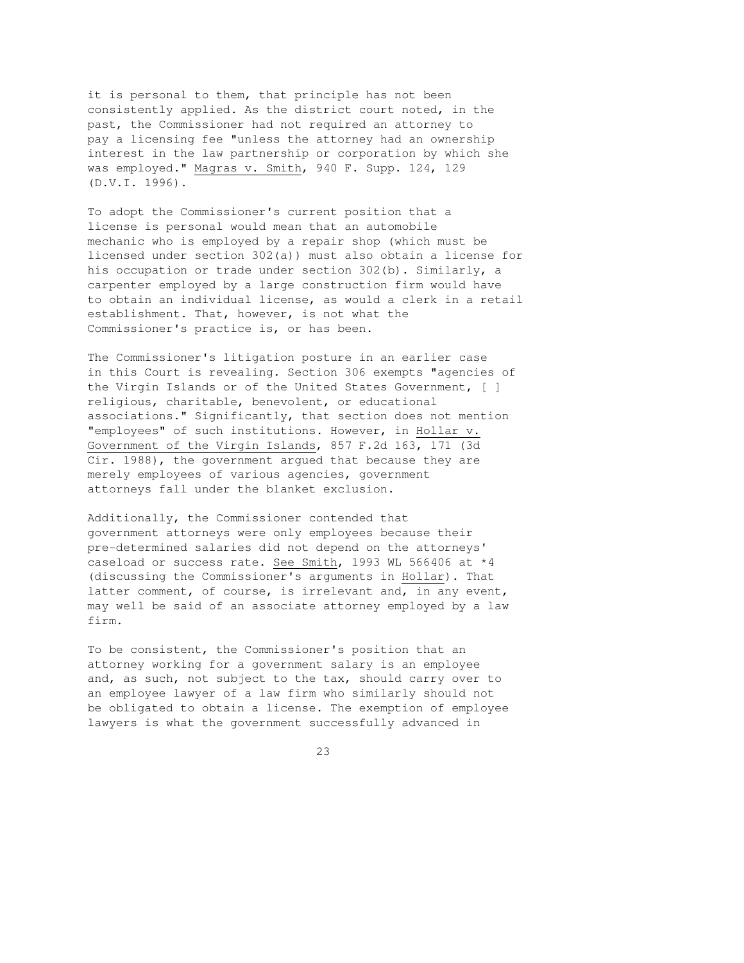it is personal to them, that principle has not been consistently applied. As the district court noted, in the past, the Commissioner had not required an attorney to pay a licensing fee "unless the attorney had an ownership interest in the law partnership or corporation by which she was employed." Magras v. Smith, 940 F. Supp. 124, 129 (D.V.I. 1996).

To adopt the Commissioner's current position that a license is personal would mean that an automobile mechanic who is employed by a repair shop (which must be licensed under section 302(a)) must also obtain a license for his occupation or trade under section 302(b). Similarly, a carpenter employed by a large construction firm would have to obtain an individual license, as would a clerk in a retail establishment. That, however, is not what the Commissioner's practice is, or has been.

The Commissioner's litigation posture in an earlier case in this Court is revealing. Section 306 exempts "agencies of the Virgin Islands or of the United States Government, [ ] religious, charitable, benevolent, or educational associations." Significantly, that section does not mention "employees" of such institutions. However, in Hollar v. Government of the Virgin Islands, 857 F.2d 163, 171 (3d Cir. 1988), the government argued that because they are merely employees of various agencies, government attorneys fall under the blanket exclusion.

Additionally, the Commissioner contended that government attorneys were only employees because their pre-determined salaries did not depend on the attorneys' caseload or success rate. See Smith, 1993 WL 566406 at \*4 (discussing the Commissioner's arguments in Hollar). That latter comment, of course, is irrelevant and, in any event, may well be said of an associate attorney employed by a law firm.

To be consistent, the Commissioner's position that an attorney working for a government salary is an employee and, as such, not subject to the tax, should carry over to an employee lawyer of a law firm who similarly should not be obligated to obtain a license. The exemption of employee lawyers is what the government successfully advanced in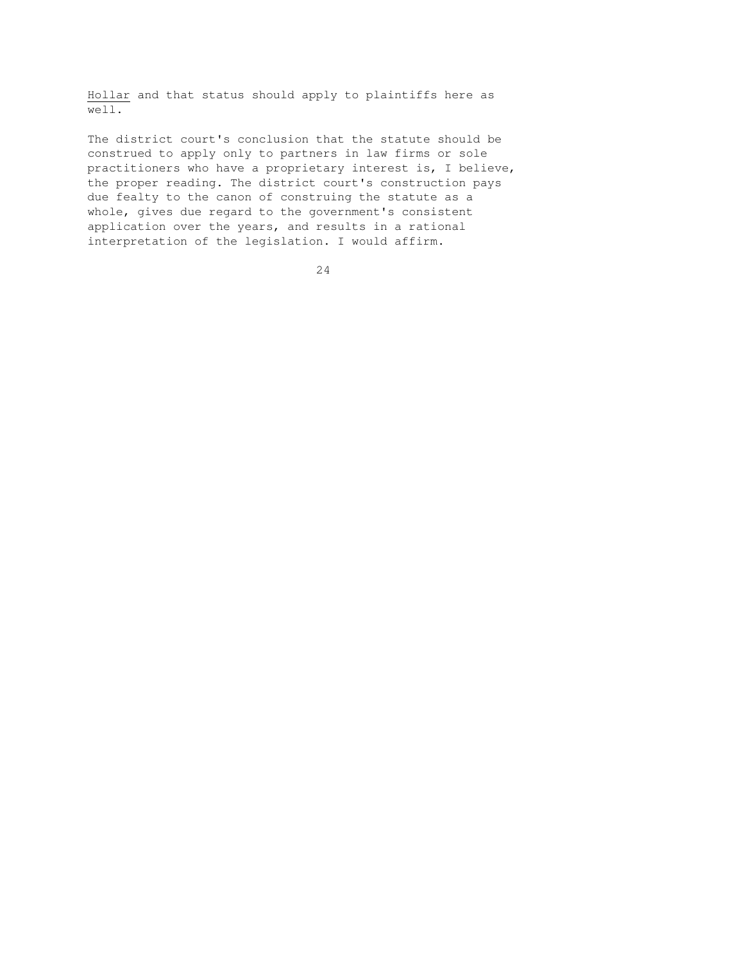Hollar and that status should apply to plaintiffs here as well.

The district court's conclusion that the statute should be construed to apply only to partners in law firms or sole practitioners who have a proprietary interest is, I believe, the proper reading. The district court's construction pays due fealty to the canon of construing the statute as a whole, gives due regard to the government's consistent application over the years, and results in a rational interpretation of the legislation. I would affirm.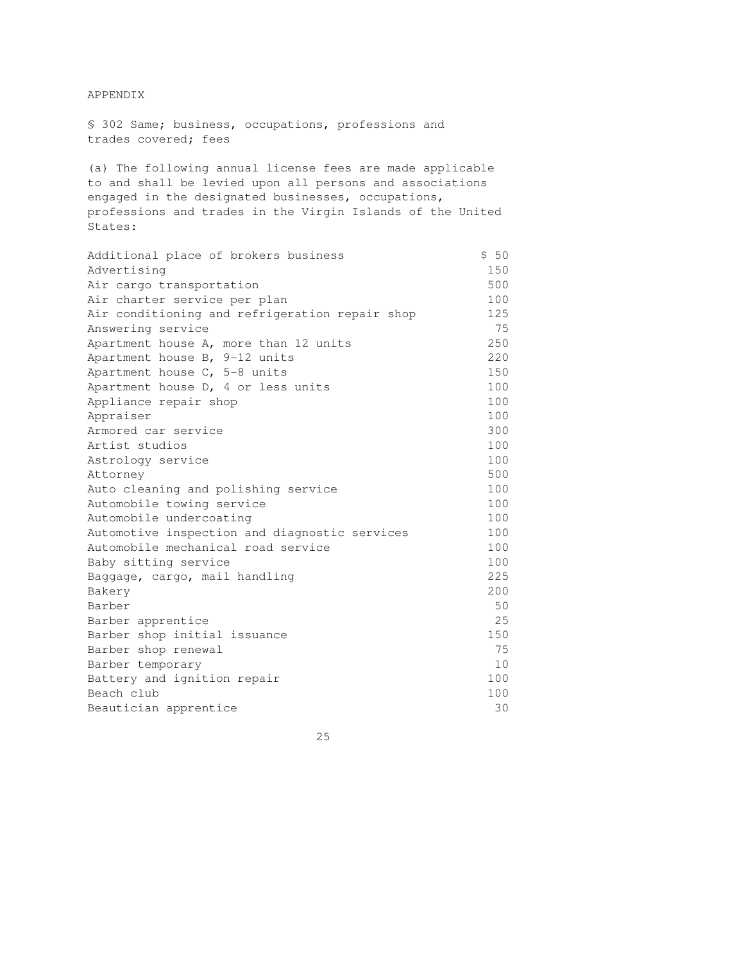## APPENDIX

§ 302 Same; business, occupations, professions and trades covered; fees

(a) The following annual license fees are made applicable to and shall be levied upon all persons and associations engaged in the designated businesses, occupations, professions and trades in the Virgin Islands of the United States:

| Additional place of brokers business           | \$50 |
|------------------------------------------------|------|
| Advertising                                    | 150  |
| Air cargo transportation                       | 500  |
| Air charter service per plan                   | 100  |
| Air conditioning and refrigeration repair shop | 125  |
| Answering service                              | 75   |
| Apartment house A, more than 12 units          | 250  |
| Apartment house B, 9-12 units                  | 220  |
| Apartment house C, 5-8 units                   | 150  |
| Apartment house D, 4 or less units             | 100  |
| Appliance repair shop                          | 100  |
| Appraiser                                      | 100  |
| Armored car service                            | 300  |
| Artist studios                                 | 100  |
| Astrology service                              | 100  |
| Attorney                                       | 500  |
| Auto cleaning and polishing service            | 100  |
| Automobile towing service                      | 100  |
| Automobile undercoating                        | 100  |
| Automotive inspection and diagnostic services  | 100  |
| Automobile mechanical road service             | 100  |
| Baby sitting service                           | 100  |
| Baggage, cargo, mail handling                  | 225  |
| Bakery                                         | 200  |
| Barber                                         | 50   |
| Barber apprentice                              | 25   |
| Barber shop initial issuance                   | 150  |
| Barber shop renewal                            | 75   |
| Barber temporary                               | 10   |
| Battery and ignition repair                    | 100  |
| Beach club                                     | 100  |
| Beautician apprentice                          | 30   |

#### <u>25</u>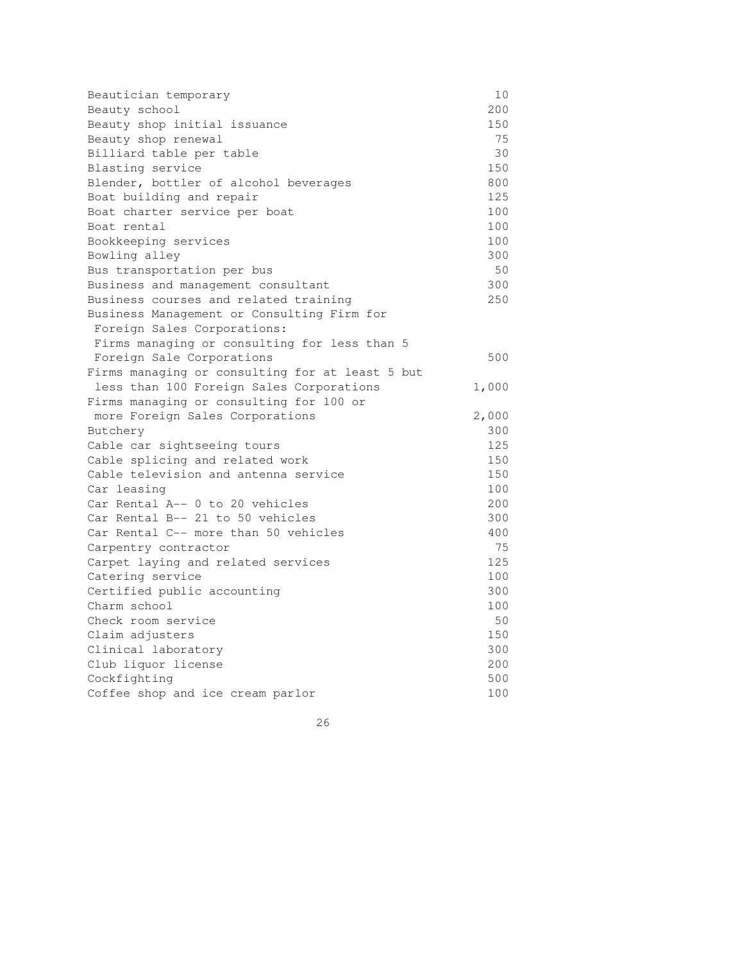| Beautician temporary                            | 10    |
|-------------------------------------------------|-------|
| Beauty school                                   | 200   |
| Beauty shop initial issuance                    | 150   |
| Beauty shop renewal                             | 75    |
| Billiard table per table                        | 30    |
| Blasting service                                | 150   |
| Blender, bottler of alcohol beverages           | 800   |
| Boat building and repair                        | 125   |
| Boat charter service per boat                   | 100   |
| Boat rental                                     | 100   |
| Bookkeeping services                            | 100   |
| Bowling alley                                   | 300   |
| Bus transportation per bus                      | 50    |
| Business and management consultant              | 300   |
| Business courses and related training           | 250   |
| Business Management or Consulting Firm for      |       |
| Foreign Sales Corporations:                     |       |
| Firms managing or consulting for less than 5    |       |
| Foreign Sale Corporations                       | 500   |
| Firms managing or consulting for at least 5 but |       |
| less than 100 Foreign Sales Corporations        | 1,000 |
| Firms managing or consulting for 100 or         |       |
| more Foreign Sales Corporations                 | 2,000 |
| Butchery                                        | 300   |
| Cable car sightseeing tours                     | 125   |
| Cable splicing and related work                 | 150   |
| Cable television and antenna service            | 150   |
| Car leasing                                     | 100   |
| Car Rental A-- 0 to 20 vehicles                 | 200   |
| Car Rental B-- 21 to 50 vehicles                | 300   |
| Car Rental C-- more than 50 vehicles            | 400   |
| Carpentry contractor                            | 75    |
| Carpet laying and related services              | 125   |
| Catering service                                | 100   |
| Certified public accounting                     | 300   |
| Charm school                                    | 100   |
| Check room service                              | 50    |
| Claim adjusters                                 | 150   |
| Clinical laboratory                             | 300   |
| Club liquor license                             | 200   |
| Cockfighting                                    | 500   |
| Coffee shop and ice cream parlor                | 100   |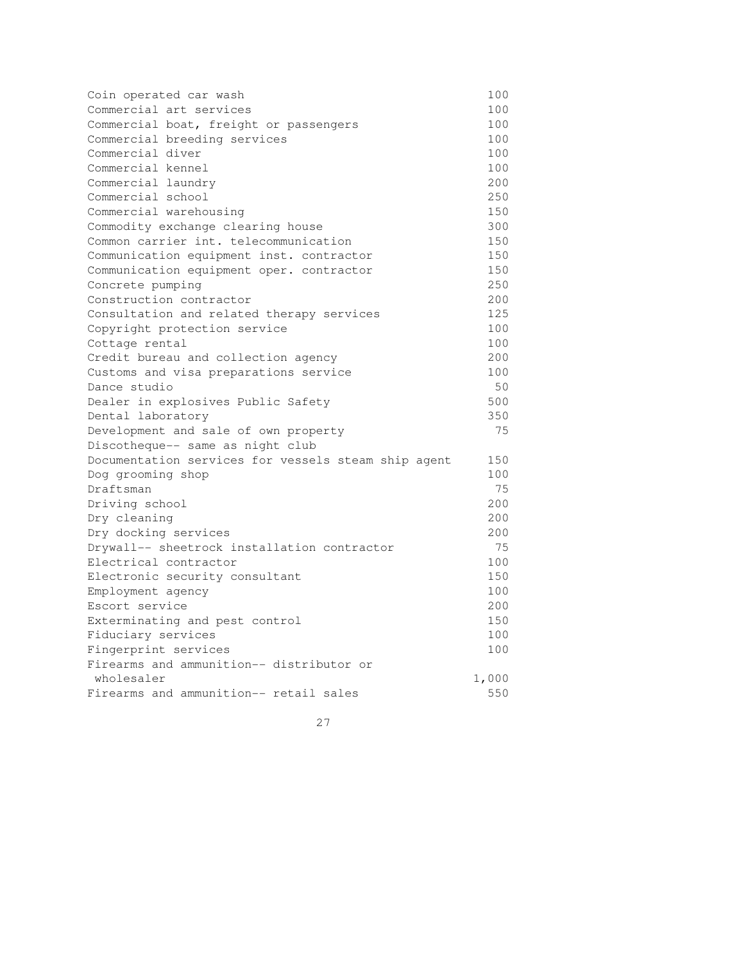| Coin operated car wash                              | 100   |
|-----------------------------------------------------|-------|
| Commercial art services                             | 100   |
| Commercial boat, freight or passengers              | 100   |
| Commercial breeding services                        | 100   |
| Commercial diver                                    | 100   |
| Commercial kennel                                   | 100   |
| Commercial laundry                                  | 200   |
| Commercial school                                   | 250   |
| Commercial warehousing                              | 150   |
| Commodity exchange clearing house                   | 300   |
| Common carrier int. telecommunication               | 150   |
| Communication equipment inst. contractor            | 150   |
| Communication equipment oper. contractor            | 150   |
| Concrete pumping                                    | 250   |
| Construction contractor                             | 200   |
| Consultation and related therapy services           | 125   |
| Copyright protection service                        | 100   |
| Cottage rental                                      | 100   |
| Credit bureau and collection agency                 | 200   |
| Customs and visa preparations service               | 100   |
| Dance studio                                        | 50    |
| Dealer in explosives Public Safety                  | 500   |
| Dental laboratory                                   | 350   |
| Development and sale of own property                | 75    |
| Discotheque-- same as night club                    |       |
| Documentation services for vessels steam ship agent | 150   |
| Dog grooming shop                                   | 100   |
| Draftsman                                           | 75    |
| Driving school                                      | 200   |
| Dry cleaning                                        | 200   |
| Dry docking services                                | 200   |
| Drywall-- sheetrock installation contractor         | 75    |
| Electrical contractor                               | 100   |
| Electronic security consultant                      | 150   |
| Employment agency                                   | 100   |
| Escort service                                      | 200   |
| Exterminating and pest control                      | 150   |
| Fiduciary services                                  | 100   |
| Fingerprint services                                | 100   |
| Firearms and ammunition-- distributor or            |       |
| wholesaler                                          | 1,000 |
| Firearms and ammunition-- retail sales              | 550   |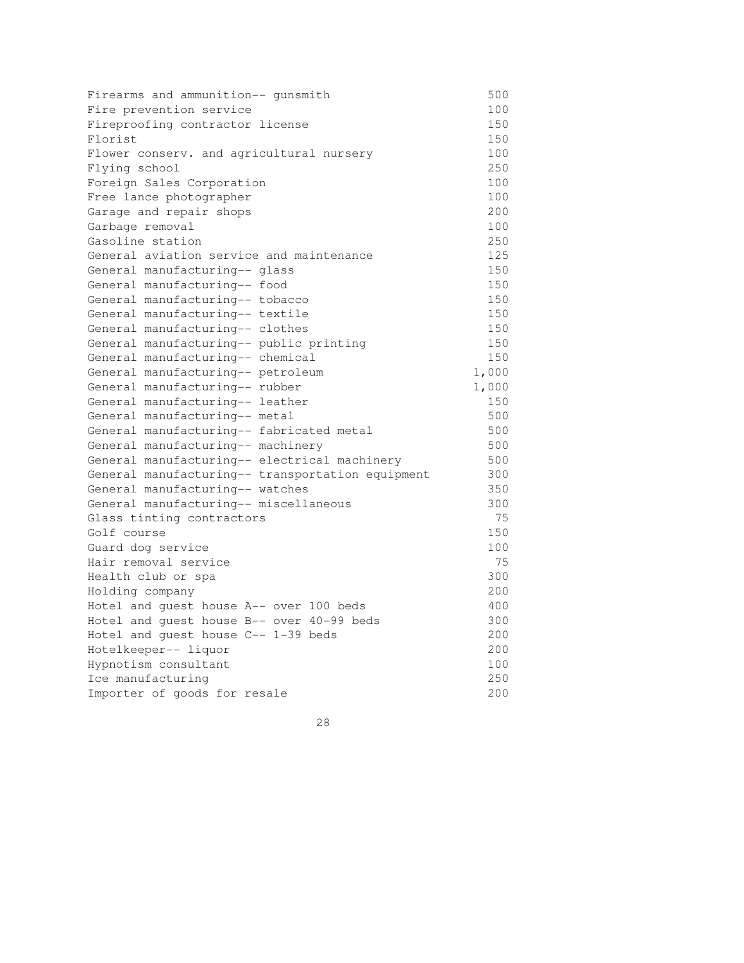| Firearms and ammunition-- gunsmith               | 500   |
|--------------------------------------------------|-------|
| Fire prevention service                          | 100   |
| Fireproofing contractor license                  | 150   |
| Florist                                          | 150   |
| Flower conserv. and agricultural nursery         | 100   |
| Flying school                                    | 250   |
| Foreign Sales Corporation                        | 100   |
| Free lance photographer                          | 100   |
| Garage and repair shops                          | 200   |
| Garbage removal                                  | 100   |
| Gasoline station                                 | 250   |
| General aviation service and maintenance         | 125   |
| General manufacturing-- glass                    | 150   |
| General manufacturing-- food                     | 150   |
| General manufacturing-- tobacco                  | 150   |
| General manufacturing-- textile                  | 150   |
| General manufacturing-- clothes                  | 150   |
| General manufacturing-- public printing          | 150   |
| General manufacturing-- chemical                 | 150   |
| General manufacturing-- petroleum                | 1,000 |
| General manufacturing-- rubber                   | 1,000 |
| General manufacturing-- leather                  | 150   |
| General manufacturing-- metal                    | 500   |
| General manufacturing-- fabricated metal         | 500   |
| General manufacturing-- machinery                | 500   |
| General manufacturing-- electrical machinery     | 500   |
| General manufacturing-- transportation equipment | 300   |
| General manufacturing-- watches                  | 350   |
| General manufacturing-- miscellaneous            | 300   |
| Glass tinting contractors                        | 75    |
| Golf course                                      | 150   |
| Guard dog service                                | 100   |
| Hair removal service                             | 75    |
| Health club or spa                               | 300   |
| Holding company                                  | 200   |
| Hotel and guest house A-- over 100 beds          | 400   |
| Hotel and guest house B-- over 40-99 beds        | 300   |
| Hotel and guest house C-- 1-39 beds              | 200   |
| Hotelkeeper-- liquor                             | 200   |
| Hypnotism consultant                             | 100   |
| Ice manufacturing                                | 250   |
| Importer of goods for resale                     | 200   |

<u>28</u>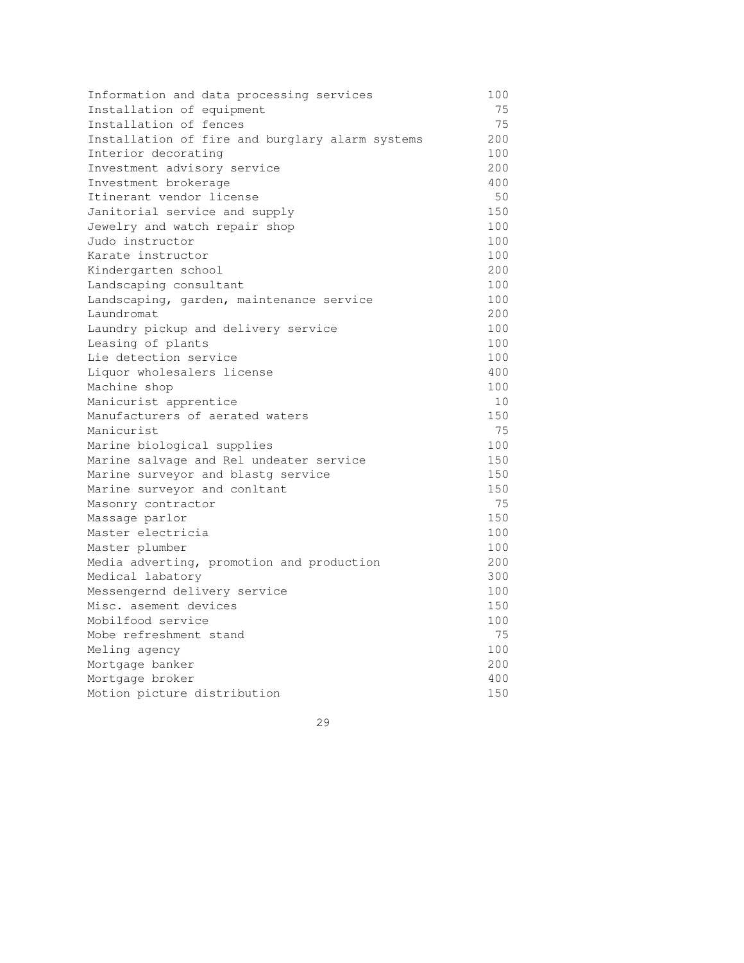| Information and data processing services        | 100     |
|-------------------------------------------------|---------|
| Installation of equipment                       | 75      |
| Installation of fences                          | 75      |
| Installation of fire and burglary alarm systems | 200     |
| Interior decorating                             | 100     |
| Investment advisory service                     | 200     |
| Investment brokerage                            | 400     |
| Itinerant vendor license                        | 50      |
| Janitorial service and supply                   | 150     |
| Jewelry and watch repair shop                   | 100     |
| Judo instructor                                 | 100     |
| Karate instructor                               | 100     |
| Kindergarten school                             | 200     |
| Landscaping consultant                          | 100     |
| Landscaping, garden, maintenance service        | 100     |
| Laundromat                                      | $200 -$ |
| Laundry pickup and delivery service             | 100     |
| Leasing of plants                               | 100     |
| Lie detection service                           | 100     |
| Liquor wholesalers license                      | 400     |
| Machine shop                                    | 100     |
| Manicurist apprentice                           | 10      |
| Manufacturers of aerated waters                 | 150     |
| Manicurist                                      | 75      |
| Marine biological supplies                      | 100     |
| Marine salvage and Rel undeater service         | 150     |
| Marine surveyor and blastg service              | 150     |
| Marine surveyor and conltant                    | 150     |
| Masonry contractor                              | 75      |
| Massage parlor                                  | 150     |
| Master electricia                               | 100     |
| Master plumber                                  | 100     |
| Media adverting, promotion and production       | 200     |
| Medical labatory                                | 300     |
| Messengernd delivery service                    | 100     |
| Misc. asement devices                           | 150     |
| Mobilfood service                               | 100     |
| Mobe refreshment stand                          | 75      |
| Meling agency                                   | 100     |
| Mortgage banker                                 | 200     |
| Mortgage broker                                 | 400     |
| Motion picture distribution                     | 150     |

<u>29</u>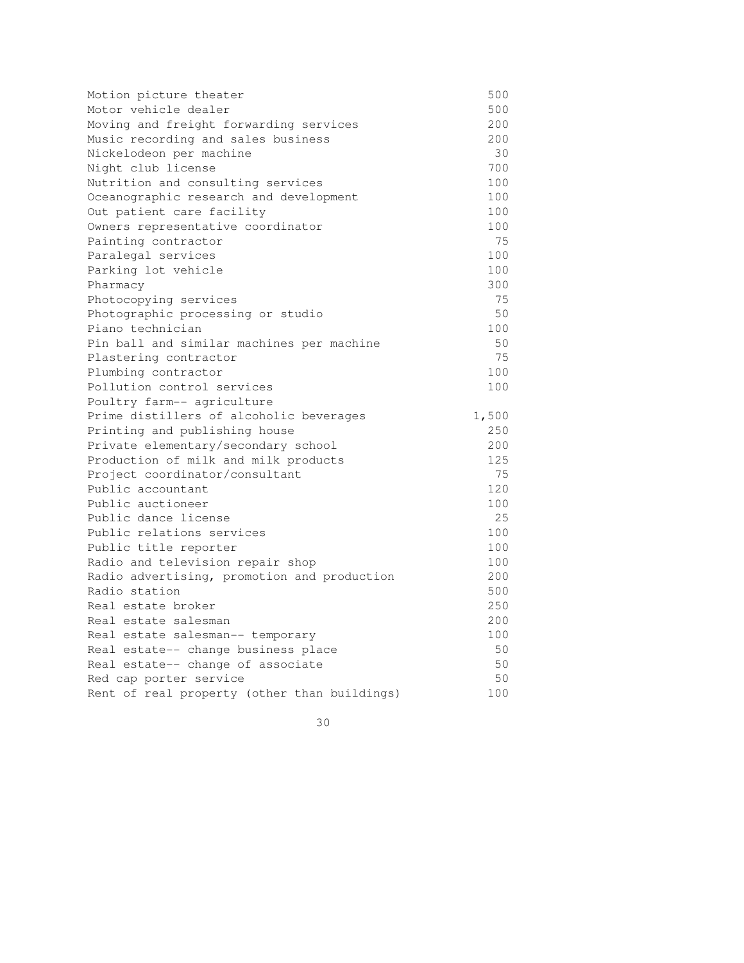| Motion picture theater                       | 500     |
|----------------------------------------------|---------|
| Motor vehicle dealer                         | 500     |
| Moving and freight forwarding services       | 200     |
| Music recording and sales business           | $200 -$ |
| Nickelodeon per machine                      | 30      |
| Night club license                           | 700     |
| Nutrition and consulting services            | 100     |
| Oceanographic research and development       | 100     |
| Out patient care facility                    | 100     |
| Owners representative coordinator            | 100     |
| Painting contractor                          | 75      |
| Paralegal services                           | 100     |
| Parking lot vehicle                          | 100     |
| Pharmacy                                     | 300     |
| Photocopying services                        | 75      |
| Photographic processing or studio            | 50      |
| Piano technician                             | 100     |
| Pin ball and similar machines per machine    | 50      |
| Plastering contractor                        | 75      |
| Plumbing contractor                          | 100     |
| Pollution control services                   | 100     |
| Poultry farm-- agriculture                   |         |
| Prime distillers of alcoholic beverages      | 1,500   |
| Printing and publishing house                | 250     |
| Private elementary/secondary school          | 200     |
| Production of milk and milk products         | 125     |
| Project coordinator/consultant               | 75      |
| Public accountant                            | 120     |
| Public auctioneer                            | 100     |
| Public dance license                         | 25      |
| Public relations services                    | 100     |
| Public title reporter                        | 100     |
| Radio and television repair shop             | 100     |
| Radio advertising, promotion and production  | 200     |
| Radio station                                | 500     |
| Real estate broker                           | 250     |
| Real estate salesman                         | 200     |
| Real estate salesman-- temporary             | 100     |
| Real estate-- change business place          | 50      |
| Real estate-- change of associate            | 50      |
| Red cap porter service                       | 50      |
| Rent of real property (other than buildings) | 100     |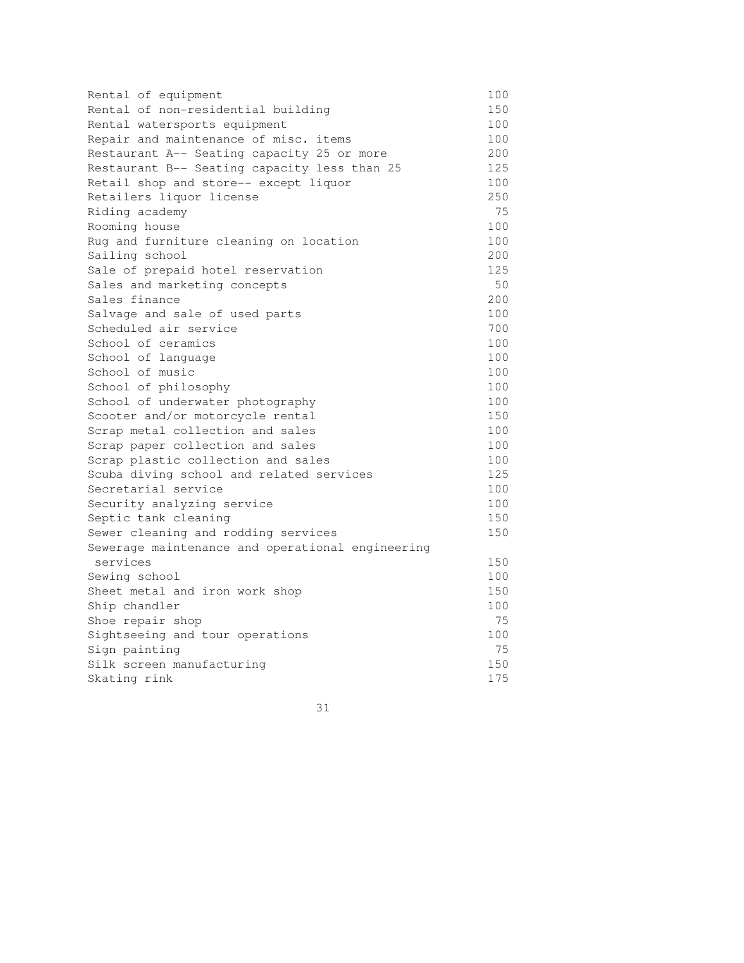| Rental of equipment                              | 100 |
|--------------------------------------------------|-----|
| Rental of non-residential building               | 150 |
| Rental watersports equipment                     | 100 |
| Repair and maintenance of misc. items            | 100 |
| Restaurant A-- Seating capacity 25 or more       | 200 |
| Restaurant B-- Seating capacity less than 25     | 125 |
| Retail shop and store-- except liquor            | 100 |
| Retailers liquor license                         | 250 |
| Riding academy                                   | 75  |
| Rooming house                                    | 100 |
| Rug and furniture cleaning on location           | 100 |
| Sailing school                                   | 200 |
| Sale of prepaid hotel reservation                | 125 |
| Sales and marketing concepts                     | 50  |
| Sales finance                                    | 200 |
| Salvage and sale of used parts                   | 100 |
| Scheduled air service                            | 700 |
| School of ceramics                               | 100 |
| School of language                               | 100 |
| School of music                                  | 100 |
| School of philosophy                             | 100 |
| School of underwater photography                 | 100 |
| Scooter and/or motorcycle rental                 | 150 |
| Scrap metal collection and sales                 | 100 |
| Scrap paper collection and sales                 | 100 |
| Scrap plastic collection and sales               | 100 |
| Scuba diving school and related services         | 125 |
| Secretarial service                              | 100 |
| Security analyzing service                       | 100 |
| Septic tank cleaning                             | 150 |
| Sewer cleaning and rodding services              | 150 |
| Sewerage maintenance and operational engineering |     |
| services                                         | 150 |
| Sewing school                                    | 100 |
| Sheet metal and iron work shop                   | 150 |
| Ship chandler                                    | 100 |
| Shoe repair shop                                 | 75  |
| Sightseeing and tour operations                  | 100 |
| Sign painting                                    | 75  |
| Silk screen manufacturing                        | 150 |
| Skating rink                                     | 175 |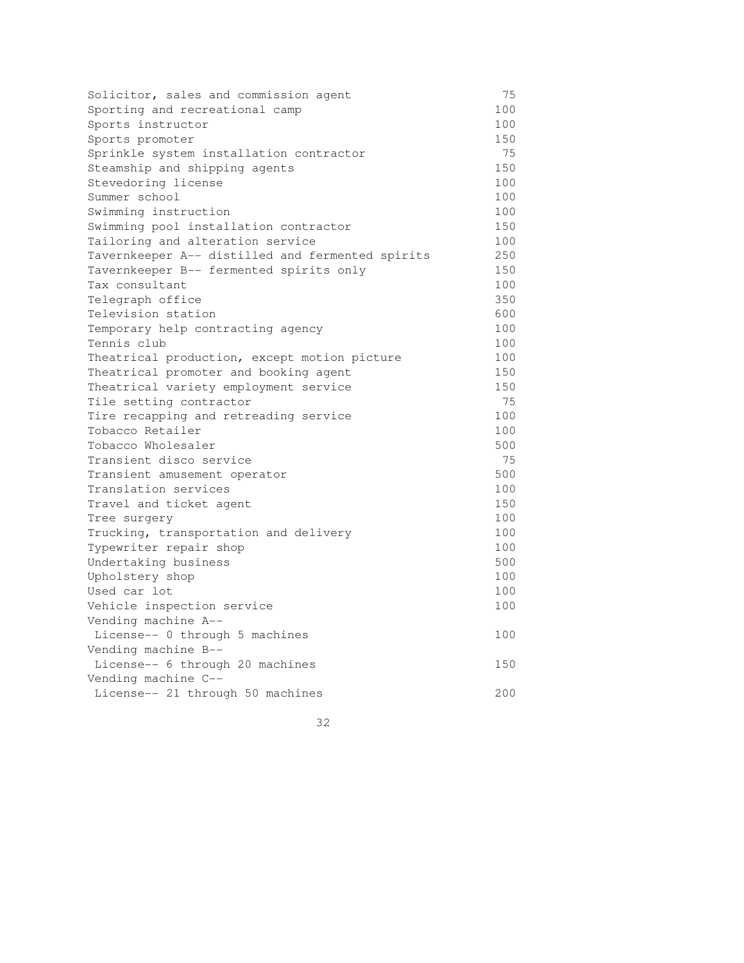| Solicitor, sales and commission agent            | 75  |
|--------------------------------------------------|-----|
| Sporting and recreational camp                   | 100 |
| Sports instructor                                | 100 |
| Sports promoter                                  | 150 |
| Sprinkle system installation contractor          | 75  |
| Steamship and shipping agents                    | 150 |
| Stevedoring license                              | 100 |
| Summer school                                    | 100 |
| Swimming instruction                             | 100 |
| Swimming pool installation contractor            | 150 |
| Tailoring and alteration service                 | 100 |
| Tavernkeeper A-- distilled and fermented spirits | 250 |
| Tavernkeeper B-- fermented spirits only          | 150 |
| Tax consultant                                   | 100 |
| Telegraph office                                 | 350 |
| Television station                               | 600 |
| Temporary help contracting agency                | 100 |
| Tennis club                                      | 100 |
| Theatrical production, except motion picture     | 100 |
| Theatrical promoter and booking agent            | 150 |
| Theatrical variety employment service            | 150 |
| Tile setting contractor                          | 75  |
| Tire recapping and retreading service            | 100 |
| Tobacco Retailer                                 | 100 |
| Tobacco Wholesaler                               | 500 |
| Transient disco service                          | 75  |
| Transient amusement operator                     | 500 |
| Translation services                             | 100 |
| Travel and ticket agent                          | 150 |
| Tree surgery                                     | 100 |
| Trucking, transportation and delivery            | 100 |
| Typewriter repair shop                           | 100 |
| Undertaking business                             | 500 |
| Upholstery shop                                  | 100 |
| Used car lot                                     | 100 |
| Vehicle inspection service                       | 100 |
| Vending machine A--                              |     |
| License-- 0 through 5 machines                   | 100 |
| Vending machine B--                              |     |
| License-- 6 through 20 machines                  | 150 |
| Vending machine C--                              |     |
| License-- 21 through 50 machines                 | 200 |